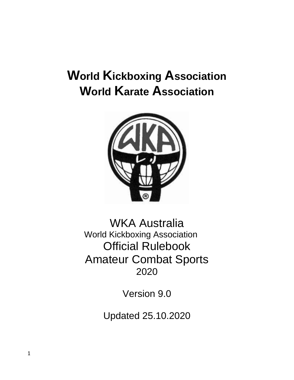# **World Kickboxing Association World Karate Association**



WKA Australia World Kickboxing Association Official Rulebook Amateur Combat Sports 2020

Version 9.0

Updated 25.10.2020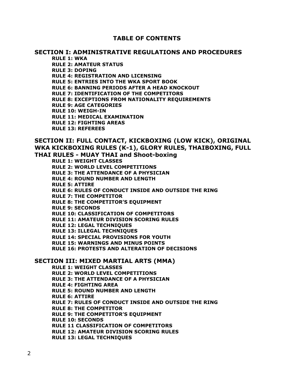# **TABLE OF CONTENTS**

# **SECTION I: ADMINISTRATIVE REGULATIONS AND PROCEDURES**

**RULE 1: WKA RULE 2: AMATEUR STATUS RULE 3: DOPING RULE 4: REGISTRATION AND LICENSING RULE 5: ENTRIES INTO THE WKA SPORT BOOK RULE 6: BANNING PERIODS AFTER A HEAD KNOCKOUT RULE 7: IDENTIFICATION OF THE COMPETITORS RULE 8: EXCEPTIONS FROM NATIONALITY REQUIREMENTS RULE 9: AGE CATEGORIES RULE 10: WEIGH-IN RULE 11: MEDICAL EXAMINATION RULE 12: FIGHTING AREAS RULE 13: REFEREES**

# **SECTION II: FULL CONTACT, KICKBOXING (LOW KICK), ORIGINAL WKA KICKBOXING RULES (K-1), GLORY RULES, THAIBOXING, FULL THAI RULES - MUAY THAI and Shoot-boxing**

**RULE 1: WEIGHT CLASSES RULE 2: WORLD LEVEL COMPETITIONS RULE 3: THE ATTENDANCE OF A PHYSICIAN RULE 4: ROUND NUMBER AND LENGTH RULE 5: ATTIRE RULE 6: RULES OF CONDUCT INSIDE AND OUTSIDE THE RING RULE 7: THE COMPETITOR RULE 8: THE COMPETITOR'S EQUIPMENT RULE 9: SECONDS RULE 10: CLASSIFICATION OF COMPETITORS RULE 11: AMATEUR DIVISION SCORING RULES RULE 12: LEGAL TECHNIQUES RULE 13: ILLEGAL TECHNIQUES RULE 14: SPECIAL PROVISIONS FOR YOUTH RULE 15: WARNINGS AND MINUS POINTS RULE 16: PROTESTS AND ALTERATION OF DECISIONS**

## **SECTION III: MIXED MARTIAL ARTS (MMA)**

**RULE 1: WEIGHT CLASSES RULE 2: WORLD LEVEL COMPETITIONS RULE 3: THE ATTENDANCE OF A PHYSICIAN RULE 4: FIGHTING AREA RULE 5: ROUND NUMBER AND LENGTH RULE 6: ATTIRE RULE 7: RULES OF CONDUCT INSIDE AND OUTSIDE THE RING RULE 8: THE COMPETITOR RULE 9: THE COMPETITOR'S EQUIPMENT RULE 10: SECONDS RULE 11 CLASSIFICATION OF COMPETITORS RULE 12: AMATEUR DIVISION SCORING RULES RULE 13: LEGAL TECHNIQUES**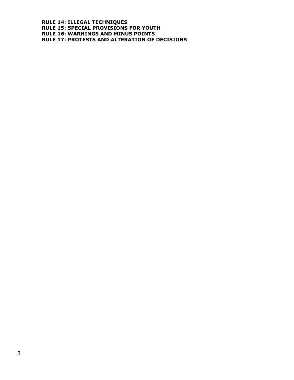**RULE 14: ILLEGAL TECHNIQUES RULE 15: SPECIAL PROVISIONS FOR YOUTH RULE 16: WARNINGS AND MINUS POINTS RULE 17: PROTESTS AND ALTERATION OF DECISIONS**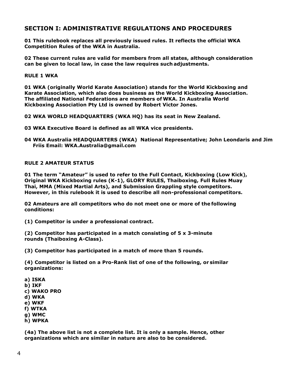# **SECTION I: ADMINISTRATIVE REGULATIONS AND PROCEDURES**

**01 This rulebook replaces all previously issued rules. It reflects the official WKA Competition Rules of the WKA in Australia.**

**02 These current rules are valid for members from all states, although consideration can be given to local law, in case the law requires such adjustments.**

**RULE 1 WKA**

**01 WKA (originally World Karate Association) stands for the World Kickboxing and Karate Association, which also does business as the World Kickboxing Association. The affiliated National Federations are members of WKA. In Australia World Kickboxing Association Pty Ltd is owned by Robert Victor Jones.**

**02 WKA WORLD HEADQUARTERS (WKA HQ) has its seat in New Zealand.**

- **03 WKA Executive Board is defined as all WKA vice presidents.**
- **04 WKA Australia HEADQUARTERS (WKA) National Representative; John Leondaris and Jim Friis Email: WKA.Australia@gmail.com**

## **RULE 2 AMATEUR STATUS**

**01 The term "Amateur" is used to refer to the Full Contact, Kickboxing (Low Kick), Original WKA Kickboxing rules (K-1), GLORY RULES, Thaiboxing, Full Rules Muay Thai, MMA (Mixed Martial Arts), and Submission Grappling style competitors. However, in this rulebook it is used to describe all non-professional competitors.**

**02 Amateurs are all competitors who do not meet one or more of the following conditions:**

**(1) Competitor is under a professional contract.**

**(2) Competitor has participated in a match consisting of 5 x 3-minute rounds (Thaiboxing A-Class).**

**(3) Competitor has participated in a match of more than 5 rounds.**

**(4) Competitor is listed on a Pro-Rank list of one of the following, or similar organizations:**

- **a) ISKA b) IKF**
- **c) WAKO PRO**
- **d) WKA**
- **e) WKF**
- **f) WTKA**
- **g) WMC**
- **h) WPKA**

**(4a) The above list is not a complete list. It is only a sample. Hence, other organizations which are similar in nature are also to be considered.**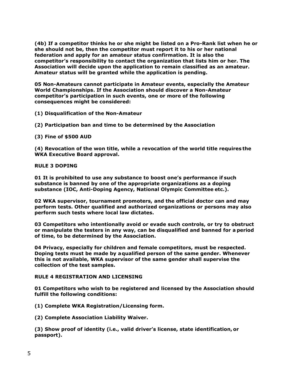**(4b) If a competitor thinks he or she might be listed on a Pro-Rank list when he or she should not be, then the competitor must report it to his or her national federation and apply for an amateur status confirmation. It is also the competitor's responsibility to contact the organization that lists him or her. The Association will decide upon the application to remain classified as an amateur. Amateur status will be granted while the application is pending.**

**05 Non-Amateurs cannot participate in Amateur events, especially the Amateur World Championships. If the Association should discover a Non-Amateur competitor's participation in such events, one or more of the following consequences might be considered:**

**(1) Disqualification of the Non-Amateur**

**(2) Participation ban and time to be determined by the Association**

**(3) Fine of \$500 AUD**

**(4) Revocation of the won title, while a revocation of the world title requires the WKA Executive Board approval.**

## **RULE 3 DOPING**

**01 It is prohibited to use any substance to boost one's performance if such substance is banned by one of the appropriate organizations as a doping substance (IOC, Anti-Doping Agency, National Olympic Committee etc.).**

**02 WKA supervisor, tournament promoters, and the official doctor can and may perform tests. Other qualified and authorized organizations or persons may also perform such tests where local law dictates.**

**03 Competitors who intentionally avoid or evade such controls, or try to obstruct or manipulate the testers in any way, can be disqualified and banned for a period of time, to be determined by the Association.**

**04 Privacy, especially for children and female competitors, must be respected. Doping tests must be made by aqualified person of the same gender. Whenever this is not available, WKA supervisor of the same gender shall supervise the collection of the test samples.**

## **RULE 4 REGISTRATION AND LICENSING**

**01 Competitors who wish to be registered and licensed by the Association should fulfill the following conditions:**

**(1) Complete WKA Registration/Licensing form.**

**(2) Complete Association Liability Waiver.**

**(3) Show proof of identity (i.e., valid driver's license, state identification, or passport).**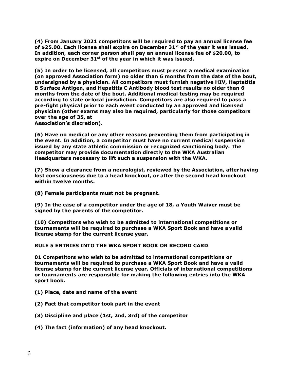**(4) From January 2021 competitors will be required to pay an annual license fee of \$25.00. Each license shall expire on December 31st of the year it was issued. In addition, each corner person shall pay an annual license fee of \$20.00, to expire on December 31st of the year in which it was issued.**

**(5) In order to be licensed, all competitors must present a medical examination (on approved Association form) no older than 6 months from the date of the bout, undersigned by a physician. All competitors must furnish negative HIV, Heptatitis B Surface Antigen, and Hepatitis C Antibody blood test results no older than 6 months from the date of the bout. Additional medical testing may be required according to state or local jurisdiction. Competitors are also required to pass a pre-fight physical prior to each event conducted by an approved and licensed physician (other exams may also be required, particularly for those competitors over the age of 35, at**

**Association's discretion).**

**(6) Have no medical or any other reasons preventing them from participating in the event. In addition, a competitor must have no current medical suspension issued by any state athletic commission or recognized sanctioning body. The competitor may provide documentation directly to the WKA Australian Headquarters necessary to lift such a suspension with the WKA.**

**(7) Show a clearance from a neurologist, reviewed by the Association, after having lost consciousness due to a head knockout, or after the second head knockout within twelve months.**

**(8) Female participants must not be pregnant.**

**(9) In the case of a competitor under the age of 18, a Youth Waiver must be signed by the parents of the competitor.**

**(10) Competitors who wish to be admitted to international competitions or tournaments will be required to purchase a WKA Sport Book and have a valid license stamp for the current license year.**

**RULE 5 ENTRIES INTO THE WKA SPORT BOOK OR RECORD CARD**

**01 Competitors who wish to be admitted to international competitions or tournaments will be required to purchase a WKA Sport Book and have a valid license stamp for the current license year. Officials of international competitions or tournaments are responsible for making the following entries into the WKA sport book.**

- **(1) Place, date and name of the event**
- **(2) Fact that competitor took part in the event**
- **(3) Discipline and place (1st, 2nd, 3rd) of the competitor**
- **(4) The fact (information) of any head knockout.**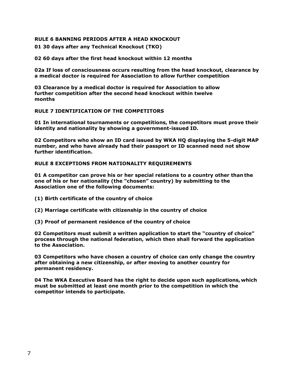## **RULE 6 BANNING PERIODS AFTER A HEAD KNOCKOUT**

**01 30 days after any Technical Knockout (TKO)**

**02 60 days after the first head knockout within 12 months**

**02a If loss of consciousness occurs resulting from the head knockout, clearance by a medical doctor is required for Association to allow further competition**

**03 Clearance by a medical doctor is required for Association to allow further competition after the second head knockout within twelve months**

## **RULE 7 IDENTIFICATION OF THE COMPETITORS**

**01 In international tournaments or competitions, the competitors must prove their identity and nationality by showing a government-issued ID.**

**02 Competitors who show an ID card issued by WKA HQ displaying the 5-digit MAP number, and who have already had their passport or ID scanned need not show further identification.**

## **RULE 8 EXCEPTIONS FROM NATIONALITY REQUIREMENTS**

**01 A competitor can prove his or her special relations to a country other than the one of his or her nationality (the "chosen" country) by submitting to the Association one of the following documents:**

- **(1) Birth certificate of the country of choice**
- **(2) Marriage certificate with citizenship in the country of choice**
- **(3) Proof of permanent residence of the country of choice**

**02 Competitors must submit a written application to start the "country of choice" process through the national federation, which then shall forward the application to the Association.**

**03 Competitors who have chosen a country of choice can only change the country after obtaining a new citizenship, or after moving to another country for permanent residency.**

**04 The WKA Executive Board has the right to decide upon such applications,which must be submitted at least one month prior to the competition in which the competitor intends to participate.**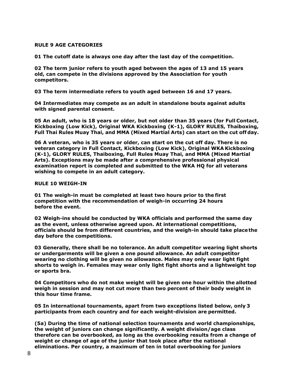## **RULE 9 AGE CATEGORIES**

**01 The cutoff date is always one day after the last day of the competition.**

**02 The term junior refers to youth aged between the ages of 13 and 15 years old, can compete in the divisions approved by the Association for youth competitors.**

**03 The term intermediate refers to youth aged between 16 and 17 years.**

**04 Intermediates may compete as an adult in standalone bouts against adults with signed parental consent.** 

**05 An adult, who is 18 years or older, but not older than 35 years (for Full Contact, Kickboxing (Low Kick), Original WKA Kickboxing (K-1), GLORY RULES, Thaiboxing, Full Thai Rules Muay Thai, and MMA (Mixed Martial Arts) can start on the cut off day.**

**06 A veteran, who is 35 years or older, can start on the cut off day. There is no veteran category in Full Contact, Kickboxing (Low Kick), Original WKA Kickboxing (K-1), GLORY RULES, Thaiboxing, Full Rules Muay Thai, and MMA (Mixed Martial Arts). Exceptions may be made after a comprehensive professional physical examination report is completed and submitted to the WKA HQ for all veterans wishing to compete in an adult category.**

## **RULE 10 WEIGH-IN**

**01 The weigh-in must be completed at least two hours prior to the first competition with the recommendation of weigh-in occurring 24 hours before the event.**

**02 Weigh-ins should be conducted by WKA officials and performed the same day as the event, unless otherwise agreed upon. At international competitions, officials should be from different countries, and the weigh-in should take placethe day before the competitions.**

**03 Generally, there shall be no tolerance. An adult competitor wearing light shorts or undergarments will be given a one pound allowance. An adult competitor wearing no clothing will be given no allowance. Males may only wear light fight shorts to weigh in. Females may wear only light fight shorts and a lightweight top or sports bra.**

**04 Competitors who do not make weight will be given one hour within the allotted weigh in session and may not cut more than two percent of their body weight in this hour time frame.**

**05 In international tournaments, apart from two exceptions listed below, only 3 participants from each country and for each weight-division are permitted.**

**(5a) During the time of national selection tournaments and world championships, the weight of juniors can change significantly. A weight division/age class therefore can be overbooked, as long as the overbooking results from a change of weight or change of age of the junior that took place after the national eliminations. Per country, a maximum of ten in total overbooking for juniors**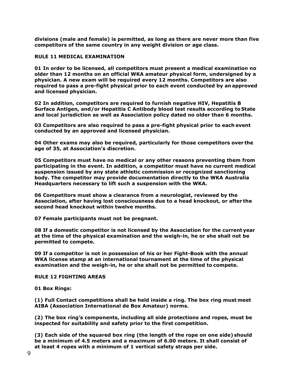**divisions (male and female) is permitted, as long as there are never more than five competitors of the same country in any weight division or age class.**

## **RULE 11 MEDICAL EXAMINATION**

**01 In order to be licensed, all competitors must present a medical examination no older than 12 months on an official WKA amateur physical form, undersigned by a physician. A new exam will be required every 12 months. Competitors are also required to pass a pre-fight physical prior to each event conducted by an approved and licensed physician.**

**02 In addition, competitors are required to furnish negative HIV, Hepatitis B Surface Antigen, and/or Hepatitis C Antibody blood test results according to State and local jurisdiction as well as Association policy dated no older than 6 months.**

**03 Competitors are also required to pass a pre-fight physical prior to each event conducted by an approved and licensed physician.**

**04 Other exams may also be required, particularly for those competitors over the age of 35, at Association's discretion.**

**05 Competitors must have no medical or any other reasons preventing them from participating in the event. In addition, a competitor must have no current medical suspension issued by any state athletic commission or recognized sanctioning body. The competitor may provide documentation directly to the WKA Australia Headquarters necessary to lift such a suspension with the WKA.**

**06 Competitors must show a clearance from a neurologist, reviewed by the Association, after having lost consciousness due to a head knockout, or after the second head knockout within twelve months.**

**07 Female participants must not be pregnant.**

**08 If a domestic competitor is not licensed by the Association for the current year at the time of the physical examination and the weigh-in, he or she shall not be permitted to compete.**

**09 If a competitor is not in possession of his or her Fight-Book with the annual WKA license stamp at an international tournament at the time of the physical examination and the weigh-in, he or she shall not be permitted to compete.**

## **RULE 12 FIGHTING AREAS**

**01 Box Rings:**

**(1) Full Contact competitions shall be held inside a ring. The box ring must meet AIBA (Association International de Box Amateur) norms.**

**(2) The box ring's components, including all side protections and ropes, must be inspected for suitability and safety prior to the first competition.**

**(3) Each side of the squared box ring (the length of the rope on one side) should be a minimum of 4.5 meters and a maximum of 6.00 meters. It shall consist of at least 4 ropes with a minimum of 1 vertical safety straps per side.**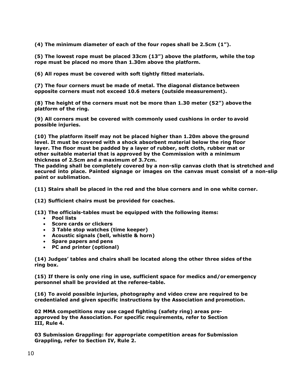**(4) The minimum diameter of each of the four ropes shall be 2.5cm (1").**

**(5) The lowest rope must be placed 33cm (13") above the platform, while the top rope must be placed no more than 1.30m above the platform.**

**(6) All ropes must be covered with soft tightly fitted materials.**

**(7) The four corners must be made of metal. The diagonal distance between opposite corners must not exceed 10.6 meters (outside measurement).**

**(8) The height of the corners must not be more than 1.30 meter (52") above the platform of the ring.**

**(9) All corners must be covered with commonly used cushions in order to avoid possible injuries.**

**(10) The platform itself may not be placed higher than 1.20m above the ground level. It must be covered with a shock absorbent material below the ring floor layer. The floor must be padded by a layer of rubber, soft cloth, rubber mat or other suitable material that is approved by the Commission with a minimum thickness of 2.5cm and a maximum of 3.7cm.**

**The padding shall be completely covered by a non-slip canvas cloth that is stretched and secured into place. Painted signage or images on the canvas must consist of a non-slip paint or sublimation.** 

**(11) Stairs shall be placed in the red and the blue corners and in one white corner.**

**(12) Sufficient chairs must be provided for coaches.**

**(13) The officials-tables must be equipped with the following items:**

- **Pool lists**
- **Score cards or clickers**
- **3 Table stop watches (time keeper)**
- **Acoustic signals (bell, whistle & horn)**
- **Spare papers and pens**
- **PC and printer (optional)**

**(14) Judges' tables and chairs shall be located along the other three sides of the ring box.**

**(15) If there is only one ring in use, sufficient space for medics and/oremergency personnel shall be provided at the referee-table.**

**(16) To avoid possible injuries, photography and video crew are required to be credentialed and given specific instructions by the Association and promotion.**

**02 MMA competitions may use caged fighting (safety ring) areas preapproved by the Association. For specific requirements, refer to Section III, Rule 4.**

**03 Submission Grappling: for appropriate competition areas for Submission Grappling, refer to Section IV, Rule 2.**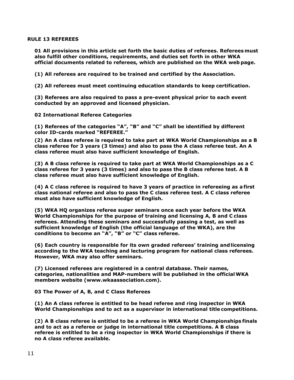## **RULE 13 REFEREES**

**01 All provisions in this article set forth the basic duties of referees. Referees must also fulfill other conditions, requirements, and duties set forth in other WKA official documents related to referees, which are published on the WKA web page.**

**(1) All referees are required to be trained and certified by the Association.**

**(2) All referees must meet continuing education standards to keep certification.**

**(3) Referees are also required to pass a pre-event physical prior to each event conducted by an approved and licensed physician.**

**02 International Referee Categories**

**(1) Referees of the categories "A", "B" and "C" shall be identified by different color ID-cards marked "REFEREE."**

**(2) An A class referee is required to take part at WKA World Championships as a B class referee for 3 years (3 times) and also to pass the A class referee test. An A class referee must also have sufficient knowledge of English.**

**(3) A B class referee is required to take part at WKA World Championships as a C class referee for 3 years (3 times) and also to pass the B class referee test. A B class referee must also have sufficient knowledge of English.**

**(4) A C class referee is required to have 3 years of practice in refereeing as afirst class national referee and also to pass the C class referee test. A C class referee must also have sufficient knowledge of English.**

**(5) WKA HQ organizes referee super seminars once each year before the WKA World Championships for the purpose of training and licensing A, B and C class referees. Attending these seminars and successfully passing a test, as well as sufficient knowledge of English (the official language of the WKA), are the conditions to become an "A", "B" or "C" class referee.**

**(6) Each country is responsible for its own graded referees' training andlicensing according to the WKA teaching and lecturing program for national class referees. However, WKA may also offer seminars.**

**(7) Licensed referees are registered in a central database. Their names, categories, nationalities and MAP-numbers will be published in the officialWKA members website (www.wkaassociation.com).**

**03 The Power of A, B, and C Class Referees**

**(1) An A class referee is entitled to be head referee and ring inspector in WKA World Championships and to act as a supervisor in international title competitions.**

**(2) A B class referee is entitled to be a referee in WKA World Championships finals and to act as a referee or judge in international title competitions. A B class referee is entitled to be a ring inspector in WKA World Championships if there is no A class referee available.**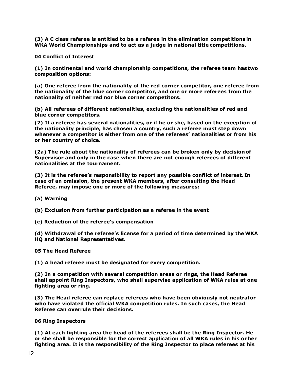**(3) A C class referee is entitled to be a referee in the elimination competitions in WKA World Championships and to act as a judge in national title competitions.**

**04 Conflict of Interest**

**(1) In continental and world championship competitions, the referee team has two composition options:**

**(a) One referee from the nationality of the red corner competitor, one referee from the nationality of the blue corner competitor, and one or more referees from the nationality of neither red nor blue corner competitors.**

**(b) All referees of different nationalities, excluding the nationalities of red and blue corner competitors.**

**(2) If a referee has several nationalities, or if he or she, based on the exception of the nationality principle, has chosen a country, such a referee must step down whenever a competitor is either from one of the referees' nationalities or from his or her country of choice.**

**(2a) The rule about the nationality of referees can be broken only by decision of Supervisor and only in the case when there are not enough referees of different nationalities at the tournament.**

**(3) It is the referee's responsibility to report any possible conflict of interest. In case of an omission, the present WKA members, after consulting the Head Referee, may impose one or more of the following measures:**

- **(a) Warning**
- **(b) Exclusion from further participation as a referee in the event**
- **(c) Reduction of the referee's compensation**

**(d) Withdrawal of the referee's license for a period of time determined by the WKA HQ and National Representatives.**

**05 The Head Referee**

**(1) A head referee must be designated for every competition.**

**(2) In a competition with several competition areas or rings, the Head Referee shall appoint Ring Inspectors, who shall supervise application of WKA rules at one fighting area or ring.**

**(3) The Head referee can replace referees who have been obviously not neutralor who have violated the official WKA competition rules. In such cases, the Head Referee can overrule their decisions.**

**06 Ring Inspectors**

**(1) At each fighting area the head of the referees shall be the Ring Inspector. He or she shall be responsible for the correct application of all WKA rules in his or her fighting area. It is the responsibility of the Ring Inspector to place referees at his**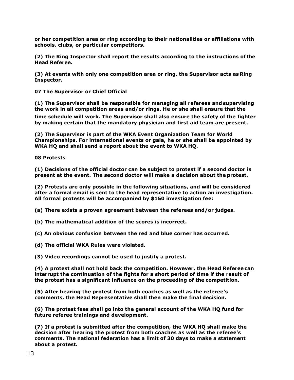**or her competition area or ring according to their nationalities or affiliations with schools, clubs, or particular competitors.**

**(2) The Ring Inspector shall report the results according to the instructions of the Head Referee.**

**(3) At events with only one competition area or ring, the Supervisor acts as Ring Inspector.**

**07 The Supervisor or Chief Official**

**(1) The Supervisor shall be responsible for managing all referees and supervising the work in all competition areas and/or rings. He or she shall ensure that the**

**time schedule will work. The Supervisor shall also ensure the safety of the fighter by making certain that the mandatory physician and first aid team are present.**

**(2) The Supervisor is part of the WKA Event Organization Team for World Championships. For international events or gala, he or she shall be appointed by WKA HQ and shall send a report about the event to WKA HQ.**

**08 Protests**

**(1) Decisions of the official doctor can be subject to protest if a second doctor is present at the event. The second doctor will make a decision about the protest.**

**(2) Protests are only possible in the following situations, and will be considered after a formal email is sent to the head representative to action an investigation. All formal protests will be accompanied by \$150 investigation fee:**

**(a) There exists a proven agreement between the referees and/or judges.**

**(b) The mathematical addition of the scores is incorrect.**

**(c) An obvious confusion between the red and blue corner has occurred.**

**(d) The official WKA Rules were violated.**

**(3) Video recordings cannot be used to justify a protest.**

**(4) A protest shall not hold back the competition. However, the Head Referee can interrupt the continuation of the fights for a short period of time if the result of the protest has a significant influence on the proceeding of the competition.**

**(5) After hearing the protest from both coaches as well as the referee's comments, the Head Representative shall then make the final decision.**

**(6) The protest fees shall go into the general account of the WKA HQ fund for future referee trainings and development.**

**(7) If a protest is submitted after the competition, the WKA HQ shall make the decision after hearing the protest from both coaches as well as the referee's comments. The national federation has a limit of 30 days to make a statement about a protest.**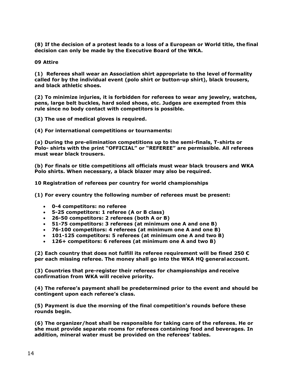**(8) If the decision of a protest leads to a loss of a European or World title, the final decision can only be made by the Executive Board of the WKA.**

**09 Attire**

**(1) Referees shall wear an Association shirt appropriate to the level of formality called for by the individual event (polo shirt or button-up shirt), black trousers, and black athletic shoes.**

**(2) To minimize injuries, it is forbidden for referees to wear any jewelry, watches, pens, large belt buckles, hard soled shoes, etc. Judges are exempted from this rule since no body contact with competitors is possible.**

**(3) The use of medical gloves is required.**

**(4) For international competitions or tournaments:**

**(a) During the pre-elimination competitions up to the semi-finals, T-shirts or Polo- shirts with the print "OFFICIAL" or "REFEREE" are permissible. All referees must wear black trousers.**

**(b) For finals or title competitions all officials must wear black trousers and WKA Polo shirts. When necessary, a black blazer may also be required.**

**10 Registration of referees per country for world championships**

**(1) For every country the following number of referees must be present:**

- **0-4 competitors: no referee**
- **5-25 competitors: 1 referee (A or B class)**
- **26-50 competitors: 2 referees (both A or B)**
- **51-75 competitors: 3 referees (at minimum one A and one B)**
- **76-100 competitors: 4 referees (at minimum one A and one B)**
- **101-125 competitors: 5 referees (at minimum one A and two B)**
- **126+ competitors: 6 referees (at minimum one A and two B)**

**(2) Each country that does not fulfill its referee requirement will be fined 250 € per each missing referee. The money shall go into the WKA HQ generalaccount.**

**(3) Countries that pre-register their referees for championships and receive confirmation from WKA will receive priority.**

**(4) The referee's payment shall be predetermined prior to the event and should be contingent upon each referee's class.**

**(5) Payment is due the morning of the final competition's rounds before these rounds begin.**

**(6) The organizer/host shall be responsible for taking care of the referees. He or she must provide separate rooms for referees containing food and beverages. In addition, mineral water must be provided on the referees' tables.**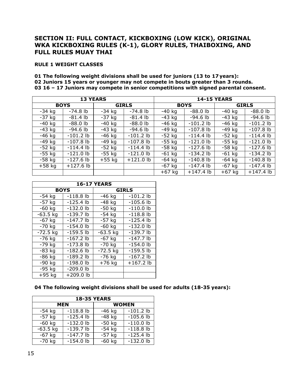# **SECTION II: FULL CONTACT, KICKBOXING (LOW KICK), ORIGINAL WKA KICKBOXING RULES (K-1), GLORY RULES, THAIBOXING, AND FULL RULES MUAY THAI**

## **RULE 1 WEIGHT CLASSES**

**01 The following weight divisions shall be used for juniors (13 to 17 years): 02 Juniors 15 years or younger may not compete in bouts greater than 3 rounds. 03 16 – 17 Juniors may compete in senior competitions with signed parental consent.**

| <b>13 YEARS</b> |             |              |             |             |             | <b>14-15 YEARS</b> |             |
|-----------------|-------------|--------------|-------------|-------------|-------------|--------------------|-------------|
| <b>BOYS</b>     |             | <b>GIRLS</b> |             | <b>BOYS</b> |             | <b>GIRLS</b>       |             |
| $-34$ kg        | $-74.8$ lb  | $-34$ kg     | $-74.8$ lb  | -40 kg      | $-88.0$ lb  | $-40$ kg           | $-88.0$ lb  |
| $-37$ kg        | $-81.4$ lb  | $-37$ kg     | $-81.4$ lb  | $-43$ kg    | $-94.6$ lb  | $-43$ kg           | $-94.6$ lb  |
| $-40$ kg        | $-88.0$ lb  | $-40$ kg     | $-88.0$ lb  | $-46$ kg    | $-101.2$ lb | $-46$ kg           | $-101.2$ lb |
| $-43$ kg        | $-94.6$ lb  | $-43$ kg     | $-94.6$ lb  | $-49$ kg    | $-107.8$ lb | -49 kg             | $-107.8$ lb |
| $-46$ kg        | $-101.2$ lb | $-46$ kg     | $-101.2$ lb | $-52$ kg    | $-114.4$ lb | $-52$ kg           | $-114.4$ lb |
| $-49$ kg        | $-107.8$ lb | $-49$ kg     | $-107.8$ lb | $-55$ kg    | $-121.0$ lb | $-55$ kg           | $-121.0$ lb |
| $-52$ kg        | $-114.4$ lb | $-52$ kg     | $-114.4$ lb | $-58$ kg    | $-127.6$ lb | $-58$ kg           | $-127.6$ lb |
| $-55$ kg        | $-121.0$ lb | $-55$ kg     | $-121.0$ lb | $-61$ kg    | $-134.2$ lb | $-61$ kg           | $-134.2$ lb |
| $-58$ kg        | $-127.6$ lb | $+55$ kg     | $+121.0$ lb | $-64$ kg    | $-140.8$ lb | $-64$ kg           | $-140.8$ lb |
| $+58$ kg        | $+127.6$ lb |              |             | $-67$ kg    | $-147.4$ lb | $-67$ kg           | $-147.4$ lb |
|                 |             |              |             | $+67$ kg    | $+147.4$ lb | $+67$ kg           | $+147.4$ lb |

| <b>16-17 YEARS</b>   |             |              |             |  |  |
|----------------------|-------------|--------------|-------------|--|--|
|                      | <b>BOYS</b> | <b>GIRLS</b> |             |  |  |
| $-54$ kg             | $-118.8$ lb | $-46$ kg     | $-101.2$ lb |  |  |
| $-57$ kg             | $-125.4$ lb | $-48$ kg     | $-105.6$ lb |  |  |
| $-60$ kg             | $-132.0$ lb | $-50$ kg     | $-110.0$ lb |  |  |
| $-63.5$ kg           | $-139.7$ lb | $-54$ kg     | $-118.8$ lb |  |  |
| $-67$ kg             | $-147.7$ lb | $-57$ kg     | $-125.4$ lb |  |  |
| $-70$ kg             | $-154.0$ lb | $-60$ kg     | $-132.0$ lb |  |  |
| $-72.5$ kg           | $-159.5$ lb | $-63.5$ kg   | $-139.7$ lb |  |  |
| $-76$ kg             | $-167.2$ lb | $-67$ kg     | $-147.7$ lb |  |  |
| $-79$ kg             | $-173.8$ lb | $-70$ kg     | $-154.0$ lb |  |  |
| $-83$ kg             | $-182.6$ lb | $-72.5$ kg   | $-159.5$ lb |  |  |
| $-86$ kg             | $-189.2$ lb | $-76$ kg     | $-167.2$ lb |  |  |
| -90 kg               | $-198.0$ lb | $+76$ kg     | $+167.2$ lb |  |  |
| $-95$ kg             | $-209.0$ lb |              |             |  |  |
| $\overline{+}$ 95 kg | +209.0 lb   |              |             |  |  |

## **04 The following weight divisions shall be used for adults (18-35 years):**

| <b>18-35 YEARS</b> |             |              |             |  |  |
|--------------------|-------------|--------------|-------------|--|--|
| <b>MEN</b>         |             | <b>WOMEN</b> |             |  |  |
| $-54$ kg           | $-118.8$ lb | $-46$ kg     | $-101.2$ lb |  |  |
| $-57$ kg           | $-125.4$ lb | $-48$ kg     | $-105.6$ lb |  |  |
| $-60$ kg           | $-132.0$ lb | $-50$ kg     | $-110.0$ lb |  |  |
| $-63.5$ kg         | $-139.7$ lb | $-54$ kg     | $-118.8$ lb |  |  |
| $-67$ kg           | $-147.7$ lb | $-57$ kg     | $-125.4$ lb |  |  |
| $-70$ kg           | $-154.0$ lb | $-60$ kg     | $-132.0$ lb |  |  |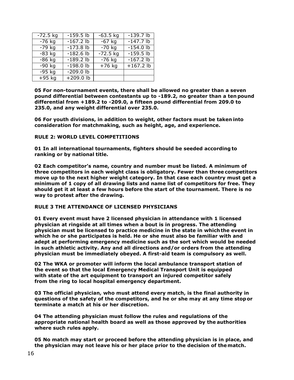| $-72.5$ kg | $-159.5$ lb | $-63.5$ kg          | $-139.7$ lb |
|------------|-------------|---------------------|-------------|
| $-76$ kg   | $-167.2$ lb | $-67$ kg            | $-147.7$ lb |
| $-79$ kg   | $-173.8$ lb | $-70$ kg            | $-154.0$ lb |
| $-83$ kg   | $-182.6$ lb | $-72.5$ kg          | $-159.5$ lb |
| $-86$ kg   | $-189.2$ lb | $-76$ kg            | $-167.2$ lb |
| $-90$ kg   | $-198.0$ lb | $\overline{+76}$ kg | $+167.2$ lb |
| $-95$ kg   | $-209.0$ lb |                     |             |
| $+95$ kg   | $+209.0$ lb |                     |             |

**05 For non-tournament events, there shall be allowed no greater than a seven pound differential between contestants up to -189.2, no greater than a ten pound differential from +189.2 to -209.0, a fifteen pound differential from 209.0 to 235.0, and any weight differential over 235.0.**

**06 For youth divisions, in addition to weight, other factors must be taken into consideration for matchmaking, such as height, age, and experience.**

## **RULE 2: WORLD LEVEL COMPETITIONS**

**01 In all international tournaments, fighters should be seeded according to ranking or by national title.**

**02 Each competitor's name, country and number must be listed. A minimum of three competitors in each weight class is obligatory. Fewer than three competitors move up to the next higher weight category. In that case each country must get a minimum of 1 copy of all drawing lists and name list of competitors for free. They should get it at least a few hours before the start of the tournament. There is no way to protest after the drawing.**

## **RULE 3 THE ATTENDANCE OF LICENSED PHYSICIANS**

**01 Every event must have 2 licensed physician in attendance with 1 licensed physician at ringside at all times when a bout is in progress. The attending physician must be licensed to practice medicine in the state in which the event in which he or she participates is held. He or she must also be familiar with and adept at performing emergency medicine such as the sort which would be needed in such athletic activity. Any and all directions and/or orders from the attending physician must be immediately obeyed. A first-aid team is compulsory as well.**

**02 The WKA or promoter will inform the local ambulance transport station of the event so that the local Emergency Medical Transport Unit is equipped with state of the art equipment to transport an injured competitor safely from the ring to local hospital emergency department.**

**03 The official physician, who must attend every match, is the final authority in questions of the safety of the competitors, and he or she may at any time stopor terminate a match at his or her discretion.**

**04 The attending physician must follow the rules and regulations of the appropriate national health board as well as those approved by the authorities where such rules apply.**

**05 No match may start or proceed before the attending physician is in place, and the physician may not leave his or her place prior to the decision of thematch.**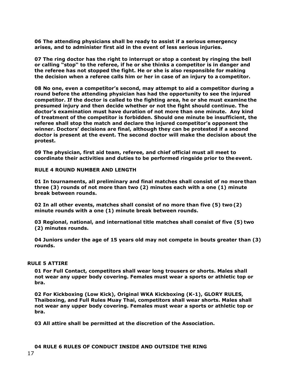**06 The attending physicians shall be ready to assist if a serious emergency arises, and to administer first aid in the event of less serious injuries.**

**07 The ring doctor has the right to interrupt or stop a contest by ringing the bell or calling "stop" to the referee, if he or she thinks a competitor is in danger and the referee has not stopped the fight. He or she is also responsible for making the decision when a referee calls him or her in case of an injury to a competitor.**

**08 No one, even a competitor's second, may attempt to aid a competitor during a round before the attending physician has had the opportunity to see the injured competitor. If the doctor is called to the fighting area, he or she must examine the presumed injury and then decide whether or not the fight should continue. The doctor's examination must have duration of not more than one minute. Any kind of treatment of the competitor is forbidden. Should one minute be insufficient, the referee shall stop the match and declare the injured competitor's opponent the winner. Doctors' decisions are final, although they can be protested if a second doctor is present at the event. The second doctor will make the decision about the protest.**

**09 The physician, first aid team, referee, and chief official must all meet to coordinate their activities and duties to be performed ringside prior to theevent.**

#### **RULE 4 ROUND NUMBER AND LENGTH**

**01 In tournaments, all preliminary and final matches shall consist of no more than three (3) rounds of not more than two (2) minutes each with a one (1) minute break between rounds.**

**02 In all other events, matches shall consist of no more than five (5) two (2) minute rounds with a one (1) minute break between rounds.**

**03 Regional, national, and international title matches shall consist of five (5) two (2) minutes rounds.**

**04 Juniors under the age of 15 years old may not compete in bouts greater than (3) rounds.**

#### **RULE 5 ATTIRE**

**01 For Full Contact, competitors shall wear long trousers or shorts. Males shall not wear any upper body covering. Females must wear a sports or athletic top or bra.**

**02 For Kickboxing (Low Kick), Original WKA Kickboxing (K-1), GLORY RULES, Thaiboxing, and Full Rules Muay Thai, competitors shall wear shorts. Males shall not wear any upper body covering. Females must wear a sports or athletic top or bra.**

**03 All attire shall be permitted at the discretion of the Association.** 

# **04 RULE 6 RULES OF CONDUCT INSIDE AND OUTSIDE THE RING**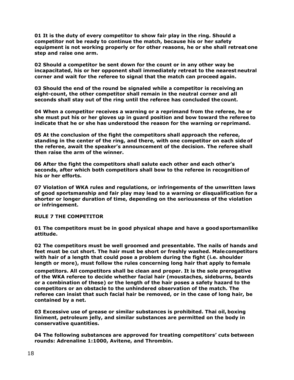**01 It is the duty of every competitor to show fair play in the ring. Should a competitor not be ready to continue the match, because his or her safety equipment is not working properly or for other reasons, he or she shall retreat one step and raise one arm.**

**02 Should a competitor be sent down for the count or in any other way be incapacitated, his or her opponent shall immediately retreat to the nearest neutral corner and wait for the referee to signal that the match can proceed again.**

**03 Should the end of the round be signaled while a competitor is receiving an eight-count, the other competitor shall remain in the neutral corner and all seconds shall stay out of the ring until the referee has concluded the count.**

**04 When a competitor receives a warning or a reprimand from the referee, he or she must put his or her gloves up in guard position and bow toward the referee to indicate that he or she has understood the reason for the warning or reprimand.**

**05 At the conclusion of the fight the competitors shall approach the referee, standing in the center of the ring, and there, with one competitor on each side of the referee, await the speaker's announcement of the decision. The referee shall then raise the arm of the winner.**

**06 After the fight the competitors shall salute each other and each other's seconds, after which both competitors shall bow to the referee in recognition of his or her efforts.**

**07 Violation of WKA rules and regulations, or infringements of the unwritten laws of good sportsmanship and fair play may lead to a warning or disqualification for a shorter or longer duration of time, depending on the seriousness of the violation or infringement.**

## **RULE 7 THE COMPETITOR**

**01 The competitors must be in good physical shape and have a goodsportsmanlike attitude.**

**02 The competitors must be well groomed and presentable. The nails of hands and feet must be cut short. The hair must be short or freshly washed. Malecompetitors with hair of a length that could pose a problem during the fight (i.e. shoulder length or more), must follow the rules concerning long hair that apply to female**

**competitors. All competitors shall be clean and proper. It is the sole prerogative of the WKA referee to decide whether facial hair (moustaches, sideburns, beards or a combination of these) or the length of the hair poses a safety hazard to the competitors or an obstacle to the unhindered observation of the match. The referee can insist that such facial hair be removed, or in the case of long hair, be contained by a net.**

**03 Excessive use of grease or similar substances is prohibited. Thai oil, boxing liniment, petroleum jelly, and similar substances are permitted on the body in conservative quantities.**

**04 The following substances are approved for treating competitors' cuts between rounds: Adrenaline 1:1000, Avitene, and Thrombin.**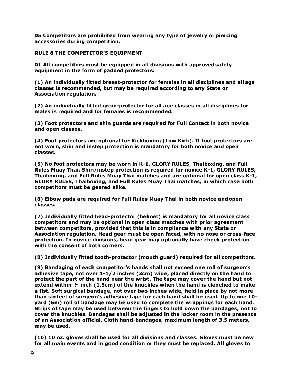**05 Competitors are prohibited from wearing any type of jewelry or piercing accessories during competition.**

## **RULE 8 THE COMPETITOR'S EQUIPMENT**

**01 All competitors must be equipped in all divisions with approved safety equipment in the form of padded protectors:**

**(1) An individually fitted breast-protector for females in all disciplines and all age classes is recommended, but may be required according to any State or Association regulation.**

**(2) An individually fitted groin-protector for all age classes in all disciplines for males is required and for females is recommended.**

**(3) Foot protectors and shin guards are required for Full Contact in both novice and open classes.**

**(4) Foot protectors are optional for Kickboxing (Low Kick). If foot protectors are not worn, shin and instep protection is mandatory for both novice and open classes.**

**(5) No foot protectors may be worn in K-1, GLORY RULES, Thaiboxing, and Full Rules Muay Thai. Shin/instep protection is required for novice K-1, GLORY RULES, Thaiboxing, and Full Rules Muay Thai matches and are optional for open class K-1, GLORY RULES, Thaiboxing, and Full Rules Muay Thai matches, in which case both competitors must be geared alike.**

**(6) Elbow pads are required for Full Rules Muay Thai in both novice and open classes.**

**(7) Individually fitted head-protector (helmet) is mandatory for all novice class competitors and may be optional in open class matches with prior agreement between competitors, provided that this is in compliance with any State or Association regulation. Head gear must be open faced, with no nose or cross-face protection. In novice divisions, head gear may optionally have cheek protection with the consent of both corners.**

**(8) Individually fitted tooth-protector (mouth guard) required for all competitors.**

**(9) Bandaging of each competitor's hands shall not exceed one roll of surgeon's adhesive tape, not over 1-1/2 inches (3cm) wide, placed directly on the hand to protect the part of the hand near the wrist. The tape may cover the hand but not extend within ¾ inch (1.5cm) of the knuckles when the hand is clenched to make a fist. Soft surgical bandage, not over two inches wide, held in place by not more than sixfeet of surgeon's adhesive tape for each hand shall be used. Up to one 10 yard (5m) roll of bandage may be used to complete the wrappings for each hand. Strips of tape may be used between the fingers to hold down the bandages, not to cover the knuckles. Bandages shall be adjusted in the locker room in the presence of an Association official. Cloth hand-bandages, maximum length of 3.5 meters, may be used.**

**(10) 10 oz. gloves shall be used for all divisions and classes. Gloves must be new for all main events and in good condition or they must be replaced. All gloves to**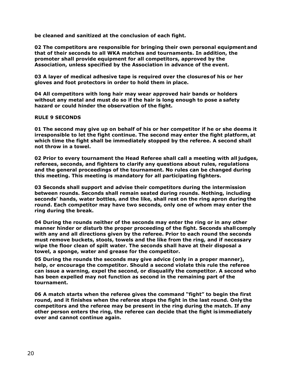**be cleaned and sanitized at the conclusion of each fight.** 

**02 The competitors are responsible for bringing their own personal equipmentand that of their seconds to all WKA matches and tournaments. In addition, the promoter shall provide equipment for all competitors, approved by the Association, unless specified by the Association in advance of the event.**

**03 A layer of medical adhesive tape is required over the closuresof his or her gloves and foot protectors in order to hold them in place.**

**04 All competitors with long hair may wear approved hair bands or holders without any metal and must do so if the hair is long enough to pose a safety hazard or could hinder the observation of the fight.**

## **RULE 9 SECONDS**

**01 The second may give up on behalf of his or her competitor if he or she deems it irresponsible to let the fight continue. The second may enter the fight platform, at which time the fight shall be immediately stopped by the referee. A second shall not throw in a towel.**

**02 Prior to every tournament the Head Referee shall call a meeting with all judges, referees, seconds, and fighters to clarify any questions about rules, regulations and the general proceedings of the tournament. No rules can be changed during this meeting. This meeting is mandatory for all participating fighters.**

**03 Seconds shall support and advise their competitors during the intermission between rounds. Seconds shall remain seated during rounds. Nothing, including seconds' hands, water bottles, and the like, shall rest on the ring apron duringthe round. Each competitor may have two seconds, only one of whom may enter the ring during the break.**

**04 During the rounds neither of the seconds may enter the ring or in any other manner hinder or disturb the proper proceeding of the fight. Seconds shallcomply with any and all directions given by the referee. Prior to each round the seconds must remove buckets, stools, towels and the like from the ring, and if necessary wipe the floor clean of spilt water. The seconds shall have at their disposal a towel, a sponge, water and grease for the competitor.**

**05 During the rounds the seconds may give advice (only in a proper manner), help, or encourage the competitor. Should a second violate this rule the referee can issue a warning, expel the second, or disqualify the competitor. A second who has been expelled may not function as second in the remaining part of the tournament.**

**06 A match starts when the referee gives the command "fight" to begin the first round, and it finishes when the referee stops the fight in the last round. Onlythe competitors and the referee may be present in the ring during the match. If any other person enters the ring, the referee can decide that the fight isimmediately over and cannot continue again.**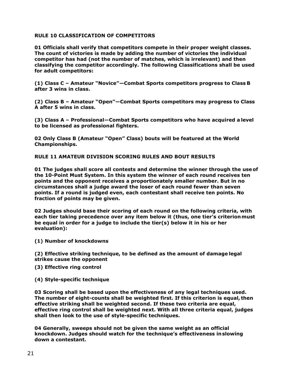## **RULE 10 CLASSIFICATION OF COMPETITORS**

**01 Officials shall verify that competitors compete in their proper weight classes. The count of victories is made by adding the number of victories the individual competitor has had (not the number of matches, which is irrelevant) and then classifying the competitor accordingly. The following Classifications shall be used for adult competitors:**

**(1) Class C – Amateur "Novice"—Combat Sports competitors progress to Class B after 3 wins in class.**

**(2) Class B – Amateur "Open"—Combat Sports competitors may progress to Class A after 5 wins in class.**

**(3) Class A – Professional—Combat Sports competitors who have acquired a level to be licensed as professional fighters.**

**02 Only Class B (Amateur "Open" Class) bouts will be featured at the World Championships.**

**RULE 11 AMATEUR DIVISION SCORING RULES AND BOUT RESULTS**

**01 The judges shall score all contests and determine the winner through the useof the 10-Point Must System. In this system the winner of each round receives ten points and the opponent receives a proportionately smaller number. But in no circumstances shall a judge award the loser of each round fewer than seven points. If a round is judged even, each contestant shall receive ten points. No fraction of points may be given.**

**02 Judges should base their scoring of each round on the following criteria, with each tier taking precedence over any item below it (thus, one tier's criterionmust be equal in order for a judge to include the tier(s) below it in his or her evaluation):**

**(1) Number of knockdowns**

**(2) Effective striking technique, to be defined as the amount of damage legal strikes cause the opponent**

- **(3) Effective ring control**
- **(4) Style-specific technique**

**03 Scoring shall be based upon the effectiveness of any legal techniques used. The number of eight-counts shall be weighted first. If this criterion is equal, then effective striking shall be weighted second. If these two criteria are equal, effective ring control shall be weighted next. With all three criteria equal, judges shall then look to the use of style-specific techniques.**

**04 Generally, sweeps should not be given the same weight as an official knockdown. Judges should watch for the technique's effectiveness inslowing down a contestant.**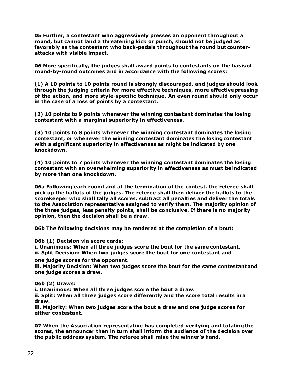**05 Further, a contestant who aggressively presses an opponent throughout a round, but cannot land a threatening kick or punch, should not be judged as favorably as the contestant who back-pedals throughout the round but counterattacks with visible impact.**

**06 More specifically, the judges shall award points to contestants on the basisof round-by-round outcomes and in accordance with the following scores:**

**(1) A 10 points to 10 points round is strongly discouraged, and judges should look through the judging criteria for more effective techniques, more effective pressing of the action, and more style-specific technique. An even round should only occur in the case of a loss of points by a contestant.**

**(2) 10 points to 9 points whenever the winning contestant dominates the losing contestant with a marginal superiority in effectiveness.**

**(3) 10 points to 8 points whenever the winning contestant dominates the losing contestant, or whenever the winning contestant dominates the losingcontestant with a significant superiority in effectiveness as might be indicated by one knockdown.**

**(4) 10 points to 7 points whenever the winning contestant dominates the losing contestant with an overwhelming superiority in effectiveness as must be indicated by more than one knockdown.**

**06a Following each round and at the termination of the contest, the referee shall pick up the ballots of the judges. The referee shall then deliver the ballots to the scorekeeper who shall tally all scores, subtract all penalties and deliver the totals to the Association representative assigned to verify them. The majority opinion of the three judges, less penalty points, shall be conclusive. If there is no majority opinion, then the decision shall be a draw.**

**06b The following decisions may be rendered at the completion of a bout:** 

**06b (1) Decision via score cards:**

**i. Unanimous: When all three judges score the bout for the same contestant. ii. Split Decision: When two judges score the bout for one contestant and**

**one judge scores for the opponent.**

**iii. Majority Decision: When two judges score the bout for the same contestantand one judge scores a draw.**

**06b (2) Draws:**

**i. Unanimous: When all three judges score the bout a draw.**

**ii. Split: When all three judges score differently and the score total results in a draw.**

**iii. Majority: When two judges score the bout a draw and one judge scores for either contestant.**

**07 When the Association representative has completed verifying and totaling the scores, the announcer then in turn shall inform the audience of the decision over the public address system. The referee shall raise the winner's hand.**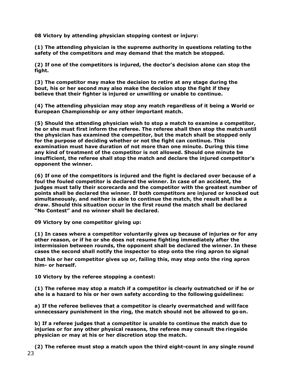**08 Victory by attending physician stopping contest or injury:**

**(1) The attending physician is the supreme authority in questions relating tothe safety of the competitors and may demand that the match be stopped.**

**(2) If one of the competitors is injured, the doctor's decision alone can stop the fight.**

**(3) The competitor may make the decision to retire at any stage during the bout, his or her second may also make the decision stop the fight if they believe that their fighter is injured or unwilling or unable to continue.**

**(4) The attending physician may stop any match regardless of it being a World or European Championship or any other important match.**

**(5) Should the attending physician wish to stop a match to examine a competitor, he or she must first inform the referee. The referee shall then stop the match until the physician has examined the competitor, but the match shall be stopped only for the purpose of deciding whether or not the fight can continue. This examination must have duration of not more than one minute. During this time any kind of treatment of the competitor is not allowed. Should one minute be insufficient, the referee shall stop the match and declare the injured competitor's opponent the winner.**

**(6) If one of the competitors is injured and the fight is declared over because of a foul the fouled competitor is declared the winner. In case of an accident, the judges must tally their scorecards and the competitor with the greatest number of points shall be declared the winner. If both competitors are injured or knocked out simultaneously, and neither is able to continue the match, the result shall be a draw. Should this situation occur in the first round the match shall be declared "No Contest" and no winner shall be declared.**

**09 Victory by one competitor giving up:**

**(1) In cases where a competitor voluntarily gives up because of injuries or for any other reason, or if he or she does not resume fighting immediately after the intermission between rounds, the opponent shall be declared the winner. In these cases the second shall notify the inspector to step onto the ring apron to signal**

**that his or her competitor gives up or, failing this, may step onto the ring apron him- or herself.**

**10 Victory by the referee stopping a contest:**

**(1) The referee may stop a match if a competitor is clearly outmatched or if he or she is a hazard to his or her own safety according to the following guidelines:**

**a) If the referee believes that a competitor is clearly overmatched and will face unnecessary punishment in the ring, the match should not be allowed to go on.**

**b) If a referee judges that a competitor is unable to continue the match due to injuries or for any other physical reasons, the referee may consult the ringside physician or may at his or her discretion stop the match.**

23 **(2) The referee must stop a match upon the third eight-count in any single round**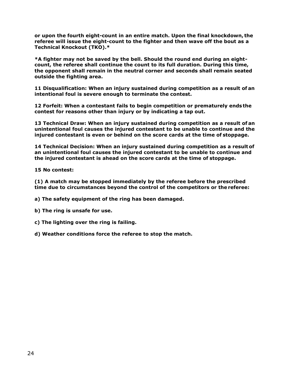**or upon the fourth eight-count in an entire match. Upon the final knockdown, the referee will issue the eight-count to the fighter and then wave off the bout as a Technical Knockout (TKO).\***

**\*A fighter may not be saved by the bell. Should the round end during an eightcount, the referee shall continue the count to its full duration. During this time, the opponent shall remain in the neutral corner and seconds shall remain seated outside the fighting area.**

**11 Disqualification: When an injury sustained during competition as a result of an intentional foul is severe enough to terminate the contest.**

**12 Forfeit: When a contestant fails to begin competition or prematurely ends the contest for reasons other than injury or by indicating a tap out.**

**13 Technical Draw: When an injury sustained during competition as a result of an unintentional foul causes the injured contestant to be unable to continue and the injured contestant is even or behind on the score cards at the time of stoppage.**

**14 Technical Decision: When an injury sustained during competition as a result of an unintentional foul causes the injured contestant to be unable to continue and the injured contestant is ahead on the score cards at the time of stoppage.**

**15 No contest:**

**(1) A match may be stopped immediately by the referee before the prescribed time due to circumstances beyond the control of the competitors or the referee:**

**a) The safety equipment of the ring has been damaged.**

- **b) The ring is unsafe for use.**
- **c) The lighting over the ring is failing.**
- **d) Weather conditions force the referee to stop the match.**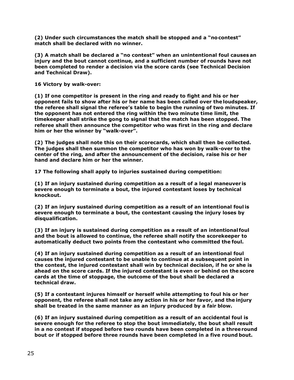**(2) Under such circumstances the match shall be stopped and a "nocontest" match shall be declared with no winner.**

**(3) A match shall be declared a "no contest" when an unintentional foul causes an injury and the bout cannot continue, and a sufficient number of rounds have not been completed to render a decision via the score cards (see Technical Decision and Technical Draw).**

**16 Victory by walk-over:**

**(1) If one competitor is present in the ring and ready to fight and his or her opponent fails to show after his or her name has been called over the loudspeaker, the referee shall signal the referee's table to begin the running of two minutes. If the opponent has not entered the ring within the two minute time limit, the timekeeper shall strike the gong to signal that the match has been stopped. The referee shall then announce the competitor who was first in the ring and declare him or her the winner by "walk-over".**

**(2) The judges shall note this on their scorecards, which shall then be collected. The judges shall then summon the competitor who has won by walk-over to the center of the ring, and after the announcement of the decision, raise his or her hand and declare him or her the winner.**

**17 The following shall apply to injuries sustained during competition:**

**(1) If an injury sustained during competition as a result of a legal maneuver is severe enough to terminate a bout, the injured contestant loses by technical knockout.**

**(2) If an injury sustained during competition as a result of an intentional foul is severe enough to terminate a bout, the contestant causing the injury loses by disqualification.**

**(3) If an injury is sustained during competition as a result of an intentional foul and the bout is allowed to continue, the referee shall notify the scorekeeper to automatically deduct two points from the contestant who committed the foul.**

**(4) If an injury sustained during competition as a result of an intentional foul causes the injured contestant to be unable to continue at a subsequent point in the contest, the injured contestant shall win by technical decision, if he or she is ahead on the score cards. If the injured contestant is even or behind on the score cards at the time of stoppage, the outcome of the bout shall be declared a technical draw.**

**(5) If a contestant injures himself or herself while attempting to foul his or her opponent, the referee shall not take any action in his or her favor, and the injury shall be treated in the same manner as an injury produced by a fair blow.**

**(6) If an injury sustained during competition as a result of an accidental foul is severe enough for the referee to stop the bout immediately, the bout shall result in a no contest if stopped before two rounds have been completed in a threeround bout or if stopped before three rounds have been completed in a five round bout.**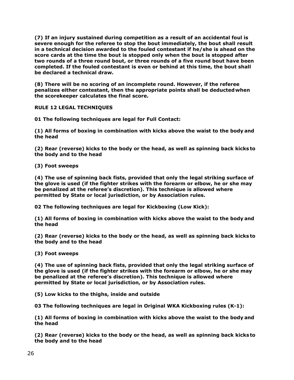**(7) If an injury sustained during competition as a result of an accidental foul is severe enough for the referee to stop the bout immediately, the bout shall result in a technical decision awarded to the fouled contestant if he/she is ahead on the score cards at the time the bout is stopped only when the bout is stopped after two rounds of a three round bout, or three rounds of a five round bout have been completed. If the fouled contestant is even or behind at this time, the bout shall be declared a technical draw.**

**(8) There will be no scoring of an incomplete round. However, if the referee penalizes either contestant, then the appropriate points shall be deductedwhen the scorekeeper calculates the final score.**

**RULE 12 LEGAL TECHNIQUES**

**01 The following techniques are legal for Full Contact:**

**(1) All forms of boxing in combination with kicks above the waist to the body and the head**

**(2) Rear (reverse) kicks to the body or the head, as well as spinning back kicks to the body and to the head**

**(3) Foot sweeps**

**(4) The use of spinning back fists, provided that only the legal striking surface of the glove is used (if the fighter strikes with the forearm or elbow, he or she may be penalized at the referee's discretion). This technique is allowed where permitted by State or local jurisdiction, or by Association rules.**

**02 The following techniques are legal for Kickboxing (Low Kick):**

**(1) All forms of boxing in combination with kicks above the waist to the body and the head**

**(2) Rear (reverse) kicks to the body or the head, as well as spinning back kicks to the body and to the head**

**(3) Foot sweeps**

**(4) The use of spinning back fists, provided that only the legal striking surface of the glove is used (if the fighter strikes with the forearm or elbow, he or she may be penalized at the referee's discretion). This technique is allowed where permitted by State or local jurisdiction, or by Association rules.**

**(5) Low kicks to the thighs, inside and outside**

**03 The following techniques are legal in Original WKA Kickboxing rules (K-1):**

**(1) All forms of boxing in combination with kicks above the waist to the body and the head**

**(2) Rear (reverse) kicks to the body or the head, as well as spinning back kicks to the body and to the head**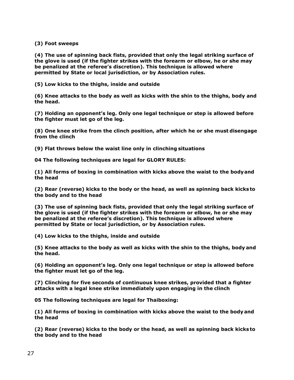**(3) Foot sweeps**

**(4) The use of spinning back fists, provided that only the legal striking surface of the glove is used (if the fighter strikes with the forearm or elbow, he or she may be penalized at the referee's discretion). This technique is allowed where permitted by State or local jurisdiction, or by Association rules.**

**(5) Low kicks to the thighs, inside and outside**

**(6) Knee attacks to the body as well as kicks with the shin to the thighs, body and the head.**

**(7) Holding an opponent's leg. Only one legal technique or step is allowed before the fighter must let go of the leg.**

**(8) One knee strike from the clinch position, after which he or she must disengage from the clinch**

**(9) Flat throws below the waist line only in clinching situations** 

**04 The following techniques are legal for GLORY RULES:**

**(1) All forms of boxing in combination with kicks above the waist to the bodyand the head**

**(2) Rear (reverse) kicks to the body or the head, as well as spinning back kicks to the body and to the head**

**(3) The use of spinning back fists, provided that only the legal striking surface of the glove is used (if the fighter strikes with the forearm or elbow, he or she may be penalized at the referee's discretion). This technique is allowed where permitted by State or local jurisdiction, or by Association rules.**

**(4) Low kicks to the thighs, inside and outside**

**(5) Knee attacks to the body as well as kicks with the shin to the thighs, body and the head.**

**(6) Holding an opponent's leg. Only one legal technique or step is allowed before the fighter must let go of the leg.**

**(7) Clinching for five seconds of continuous knee strikes, provided that a fighter attacks with a legal knee strike immediately upon engaging in the clinch**

**05 The following techniques are legal for Thaiboxing:**

**(1) All forms of boxing in combination with kicks above the waist to the body and the head**

**(2) Rear (reverse) kicks to the body or the head, as well as spinning back kicks to the body and to the head**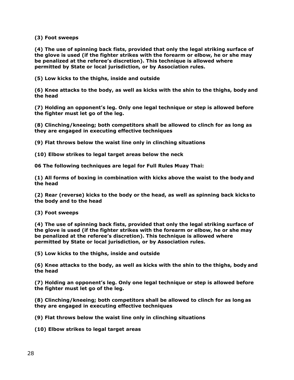**(3) Foot sweeps**

**(4) The use of spinning back fists, provided that only the legal striking surface of the glove is used (if the fighter strikes with the forearm or elbow, he or she may be penalized at the referee's discretion). This technique is allowed where permitted by State or local jurisdiction, or by Association rules.**

**(5) Low kicks to the thighs, inside and outside**

**(6) Knee attacks to the body, as well as kicks with the shin to the thighs, body and the head**

**(7) Holding an opponent's leg. Only one legal technique or step is allowed before the fighter must let go of the leg.**

**(8) Clinching/kneeing; both competitors shall be allowed to clinch for as long as they are engaged in executing effective techniques**

**(9) Flat throws below the waist line only in clinching situations**

**(10) Elbow strikes to legal target areas below the neck**

**06 The following techniques are legal for Full Rules Muay Thai:**

**(1) All forms of boxing in combination with kicks above the waist to the body and the head**

**(2) Rear (reverse) kicks to the body or the head, as well as spinning back kicks to the body and to the head**

**(3) Foot sweeps**

**(4) The use of spinning back fists, provided that only the legal striking surface of the glove is used (if the fighter strikes with the forearm or elbow, he or she may be penalized at the referee's discretion). This technique is allowed where permitted by State or local jurisdiction, or by Association rules.**

**(5) Low kicks to the thighs, inside and outside**

**(6) Knee attacks to the body, as well as kicks with the shin to the thighs, body and the head**

**(7) Holding an opponent's leg. Only one legal technique or step is allowed before the fighter must let go of the leg.**

**(8) Clinching/kneeing; both competitors shall be allowed to clinch for as long as they are engaged in executing effective techniques**

**(9) Flat throws below the waist line only in clinching situations**

**(10) Elbow strikes to legal target areas**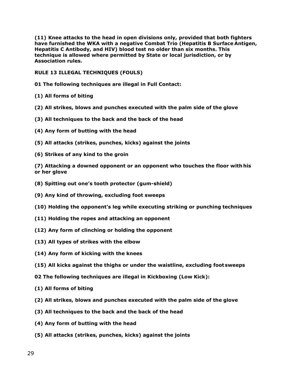**(11) Knee attacks to the head in open divisions only, provided that both fighters have furnished the WKA with a negative Combat Trio (Hepatitis B Surface Antigen, Hepatitis C Antibody, and HIV) blood test no older than six months. This technique is allowed where permitted by State or local jurisdiction, or by Association rules.**

**RULE 13 ILLEGAL TECHNIQUES (FOULS)**

**01 The following techniques are illegal in Full Contact:**

- **(1) All forms of biting**
- **(2) All strikes, blows and punches executed with the palm side of the glove**
- **(3) All techniques to the back and the back of the head**
- **(4) Any form of butting with the head**
- **(5) All attacks (strikes, punches, kicks) against the joints**
- **(6) Strikes of any kind to the groin**

**(7) Attacking a downed opponent or an opponent who touches the floor with his or her glove**

- **(8) Spitting out one's tooth protector (gum-shield)**
- **(9) Any kind of throwing, excluding foot sweeps**
- **(10) Holding the opponent's leg while executing striking or punching techniques**
- **(11) Holding the ropes and attacking an opponent**
- **(12) Any form of clinching or holding the opponent**
- **(13) All types of strikes with the elbow**
- **(14) Any form of kicking with the knees**
- **(15) All kicks against the thighs or under the waistline, excluding foot sweeps**

**02 The following techniques are illegal in Kickboxing (Low Kick):**

- **(1) All forms of biting**
- **(2) All strikes, blows and punches executed with the palm side of the glove**
- **(3) All techniques to the back and the back of the head**
- **(4) Any form of butting with the head**
- **(5) All attacks (strikes, punches, kicks) against the joints**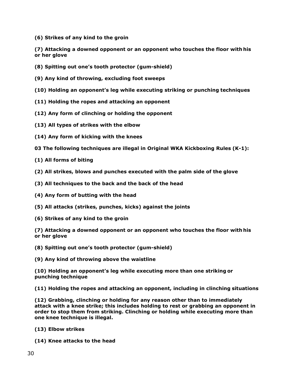**(6) Strikes of any kind to the groin**

**(7) Attacking a downed opponent or an opponent who touches the floor with his or her glove**

- **(8) Spitting out one's tooth protector (gum-shield)**
- **(9) Any kind of throwing, excluding foot sweeps**
- **(10) Holding an opponent's leg while executing striking or punching techniques**
- **(11) Holding the ropes and attacking an opponent**
- **(12) Any form of clinching or holding the opponent**
- **(13) All types of strikes with the elbow**
- **(14) Any form of kicking with the knees**
- **03 The following techniques are illegal in Original WKA Kickboxing Rules (K-1):**
- **(1) All forms of biting**
- **(2) All strikes, blows and punches executed with the palm side of the glove**
- **(3) All techniques to the back and the back of the head**
- **(4) Any form of butting with the head**
- **(5) All attacks (strikes, punches, kicks) against the joints**
- **(6) Strikes of any kind to the groin**

**(7) Attacking a downed opponent or an opponent who touches the floor with his or her glove**

**(8) Spitting out one's tooth protector (gum-shield)**

**(9) Any kind of throwing above the waistline**

**(10) Holding an opponent's leg while executing more than one striking or punching technique**

**(11) Holding the ropes and attacking an opponent, including in clinching situations**

**(12) Grabbing, clinching or holding for any reason other than to immediately attack with a knee strike; this includes holding to rest or grabbing an opponent in order to stop them from striking. Clinching or holding while executing more than one knee technique is illegal.**

- **(13) Elbow strikes**
- **(14) Knee attacks to the head**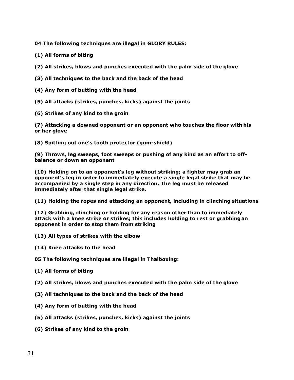**04 The following techniques are illegal in GLORY RULES:**

- **(1) All forms of biting**
- **(2) All strikes, blows and punches executed with the palm side of the glove**
- **(3) All techniques to the back and the back of the head**
- **(4) Any form of butting with the head**
- **(5) All attacks (strikes, punches, kicks) against the joints**
- **(6) Strikes of any kind to the groin**

**(7) Attacking a downed opponent or an opponent who touches the floor with his or her glove**

**(8) Spitting out one's tooth protector (gum-shield)**

**(9) Throws, leg sweeps, foot sweeps or pushing of any kind as an effort to offbalance or down an opponent**

**(10) Holding on to an opponent's leg without striking; a fighter may grab an opponent's leg in order to immediately execute a single legal strike that may be accompanied by a single step in any direction. The leg must be released immediately after that single legal strike.**

**(11) Holding the ropes and attacking an opponent, including in clinching situations**

**(12) Grabbing, clinching or holding for any reason other than to immediately attack with a knee strike or strikes; this includes holding to rest or grabbingan opponent in order to stop them from striking**

- **(13) All types of strikes with the elbow**
- **(14) Knee attacks to the head**

**05 The following techniques are illegal in Thaiboxing:**

- **(1) All forms of biting**
- **(2) All strikes, blows and punches executed with the palm side of the glove**
- **(3) All techniques to the back and the back of the head**
- **(4) Any form of butting with the head**
- **(5) All attacks (strikes, punches, kicks) against the joints**
- **(6) Strikes of any kind to the groin**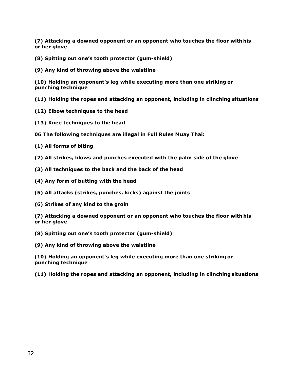**(7) Attacking a downed opponent or an opponent who touches the floor with his or her glove**

- **(8) Spitting out one's tooth protector (gum-shield)**
- **(9) Any kind of throwing above the waistline**

**(10) Holding an opponent's leg while executing more than one striking or punching technique**

- **(11) Holding the ropes and attacking an opponent, including in clinching situations**
- **(12) Elbow techniques to the head**
- **(13) Knee techniques to the head**

**06 The following techniques are illegal in Full Rules Muay Thai:**

- **(1) All forms of biting**
- **(2) All strikes, blows and punches executed with the palm side of the glove**
- **(3) All techniques to the back and the back of the head**
- **(4) Any form of butting with the head**
- **(5) All attacks (strikes, punches, kicks) against the joints**
- **(6) Strikes of any kind to the groin**

**(7) Attacking a downed opponent or an opponent who touches the floor with his or her glove**

**(8) Spitting out one's tooth protector (gum-shield)**

**(9) Any kind of throwing above the waistline**

**(10) Holding an opponent's leg while executing more than one striking or punching technique**

**(11) Holding the ropes and attacking an opponent, including in clinchingsituations**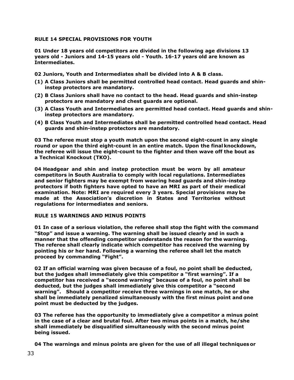## **RULE 14 SPECIAL PROVISIONS FOR YOUTH**

**01 Under 18 years old competitors are divided in the following age divisions 13 years old - Juniors and 14-15 years old - Youth. 16-17 years old are known as Intermediates.** 

**02 Juniors, Youth and Intermediates shall be divided into A & B class.**

- **(1) A Class Juniors shall be permitted controlled head contact. Head guards and shininstep protectors are mandatory.**
- **(2) B Class Juniors shall have no contact to the head. Head guards and shin-instep protectors are mandatory and chest guards are optional.**
- **(3) A Class Youth and Intermediates are permitted head contact. Head guards and shininstep protectors are mandatory.**
- **(4) B Class Youth and Intermediates shall be permitted controlled head contact. Head guards and shin-instep protectors are mandatory.**

**03 The referee must stop a youth match upon the second eight-count in any single round or upon the third eight-count in an entire match. Upon the final knockdown, the referee will issue the eight-count to the fighter and then wave off the bout as a Technical Knockout (TKO).**

**04 Headgear and shin and instep protection must be worn by all amateur competitors in South Australia to comply with local regulations. Intermediates and senior fighters may be exempt from wearing head guards and shin-instep protectors if both fighters have opted to have an MRI as part of their medical examination. Note: MRI are required every 3 years. Special provisions may be made at the Association's discretion in States and Territories without regulations for intermediates and seniors.** 

## **RULE 15 WARNINGS AND MINUS POINTS**

**01 In case of a serious violation, the referee shall stop the fight with the command "Stop" and issue a warning. The warning shall be issued clearly and in such a manner that the offending competitor understands the reason for the warning. The referee shall clearly indicate which competitor has received the warning by pointing his or her hand. Following a warning the referee shall let the match proceed by commanding "Fight".**

**02 If an official warning was given because of a foul, no point shall be deducted, but the judges shall immediately give this competitor a "first warning". If a competitor has received a "second warning" because of a foul, no point shall be deducted, but the judges shall immediately give this competitor a "second warning". Should a competitor receive three warnings in one match, he or she shall be immediately penalized simultaneously with the first minus point and one point must be deducted by the judges.**

**03 The referee has the opportunity to immediately give a competitor a minus point in the case of a clear and brutal foul. After two minus points in a match, he/she shall immediately be disqualified simultaneously with the second minus point being issued.**

**04 The warnings and minus points are given for the use of all illegal techniquesor**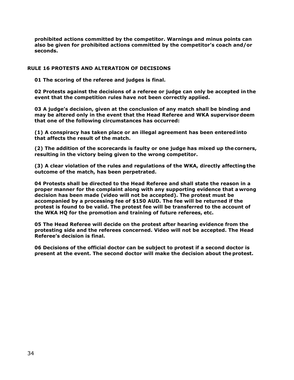**prohibited actions committed by the competitor. Warnings and minus points can also be given for prohibited actions committed by the competitor's coach and/or seconds.**

## **RULE 16 PROTESTS AND ALTERATION OF DECISIONS**

**01 The scoring of the referee and judges is final.**

**02 Protests against the decisions of a referee or judge can only be accepted in the event that the competition rules have not been correctly applied.**

**03 A judge's decision, given at the conclusion of any match shall be binding and may be altered only in the event that the Head Referee and WKA supervisordeem that one of the following circumstances has occurred:**

**(1) A conspiracy has taken place or an illegal agreement has been enteredinto that affects the result of the match.**

**(2) The addition of the scorecards is faulty or one judge has mixed up the corners, resulting in the victory being given to the wrong competitor.**

**(3) A clear violation of the rules and regulations of the WKA, directly affectingthe outcome of the match, has been perpetrated.**

**04 Protests shall be directed to the Head Referee and shall state the reason in a proper manner for the complaint along with any supporting evidence that awrong decision has been made (video will not be accepted). The protest must be accompanied by a processing fee of \$150 AUD. The fee will be returned if the protest is found to be valid. The protest fee will be transferred to the account of the WKA HQ for the promotion and training of future referees, etc.**

**05 The Head Referee will decide on the protest after hearing evidence from the protesting side and the referees concerned. Video will not be accepted. The Head Referee's decision is final.**

**06 Decisions of the official doctor can be subject to protest if a second doctor is present at the event. The second doctor will make the decision about the protest.**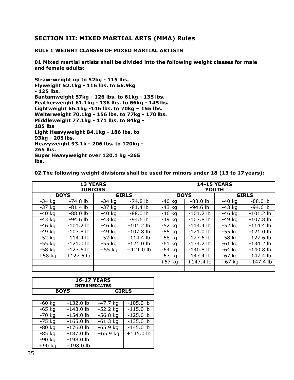# **SECTION III: MIXED MARTIAL ARTS (MMA) Rules**

## **RULE 1 WEIGHT CLASSES OF MIXED MARTIAL ARTISTS**

**01 Mixed martial artists shall be divided into the following weight classes for male and female adults:**

**Straw-weight up to 52kg - 115 lbs. Flyweight 52.1kg - 116 lbs. to 56.9kg - 125 lbs. Bantamweight 57kg - 126 lbs. to 61kg - 135 lbs. Featherweight 61.1kg - 136 lbs. to 66kg - 145 lbs. Lightweight 66.1kg -146 lbs. to 70kg – 155 lbs. Welterweight 70.1kg - 156 lbs. to 77kg - 170 lbs. Middleweight 77.1kg - 171 lbs. to 84kg - 185 lbs Light Heavyweight 84.1kg - 186 lbs. to 93kg - 205 lbs. Heavyweight 93.1k - 206 lbs. to 120kg - 265 lbs. Super Heavyweight over 120.1 kg -265 lbs.** 

**02 The following weight divisions shall be used for minors under 18 (13 to 17 years):**

| <b>13 YEARS</b> |             |              |             | <b>14-15 YEARS</b> |             |              |             |
|-----------------|-------------|--------------|-------------|--------------------|-------------|--------------|-------------|
| <b>JUNIORS</b>  |             |              |             | YOUTH              |             |              |             |
| <b>BOYS</b>     |             | <b>GIRLS</b> |             | <b>BOYS</b>        |             | <b>GIRLS</b> |             |
| $-34$ kg        | $-74.8$ lb  | $-34$ kg     | $-74.8$ lb  | $-40$ kg           | $-88.0$ lb  | $-40$ kg     | $-88.0$ lb  |
| $-37$ kg        | $-81.4$ lb  | $-37$ kg     | $-81.4$ lb  | $-43$ kg           | $-94.6$ lb  | $-43$ kg     | $-94.6$ lb  |
| $-40$ kg        | $-88.0$ lb  | $-40$ kg     | $-88.0$ lb  | $-46$ kg           | $-101.2$ lb | $-46$ kg     | $-101.2$ lb |
| $-43$ kg        | $-94.6$ lb  | $-43$ kg     | $-94.6$ lb  | $-49$ kg           | $-107.8$ lb | $-49$ kg     | $-107.8$ lb |
| $-46$ kg        | $-101.2$ lb | $-46$ kg     | $-101.2$ lb | $-52$ kg           | $-114.4$ lb | $-52$ kg     | $-114.4$ lb |
| $-49$ kg        | $-107.8$ lb | $-49$ kg     | $-107.8$ lb | $-55$ kg           | $-121.0$ lb | $-55$ kg     | $-121.0$ lb |
| $-52$ kg        | $-114.4$ lb | $-52$ kg     | $-114.4$ lb | $-58$ kg           | $-127.6$ lb | $-58$ kg     | $-127.6$ lb |
| $-55$ kg        | $-121.0$ lb | $-55$ kg     | $-121.0$ lb | $-61$ kg           | $-134.2$ lb | $-61$ kg     | $-134.2$ lb |
| $-58$ kg        | $-127.6$ lb | $+55$ kg     | $+121.0$ lb | $-64$ kg           | $-140.8$ lb | -64 kg       | $-140.8$ lb |
| $+58$ kg        | $+127.6$ lb |              |             | $-67$ kg           | $-147.4$ lb | $-67$ kg     | $-147.4$ lb |
|                 |             |              |             | $+67$ kg           | $+147.4$ lb | $+67$ kg     | $+147.4$ lb |
|                 |             |              |             |                    |             |              |             |

| <b>16-17 YEARS</b><br><b>INTERMEDIATES</b> |              |  |  |  |  |
|--------------------------------------------|--------------|--|--|--|--|
| <b>BOYS</b>                                | <b>GIRLS</b> |  |  |  |  |

| $-60$ kg | $-132.0$ lb | $-47.7$ kg | $-105.0$ lb |
|----------|-------------|------------|-------------|
| $-65$ kg | $-143.0$ lb | $-52.2$ kg | $-115.0$ lb |
| $-70$ kg | $-154.0$ lb | $-56.8$ kg | $-125.0$ lb |
| $-75$ kg | $-165.0$ lb | $-61.3$ kg | $-135.0$ lb |
| $-80$ kg | $-176.0$ lb | $-65.9$ kg | $-145.0$ lb |
| $-85$ kg | $-187.0$ lb | $+65.9$ kg | $+145.0$ lb |
| $-90$ kg | $-198.0$ lb |            |             |
| $+90$ kg | $+198.0$ lb |            |             |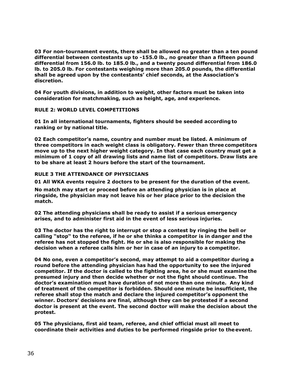**03 For non-tournament events, there shall be allowed no greater than a ten pound differential between contestants up to -155.0 lb., no greater than a fifteen pound differential from 156.0 lb. to 185.0 lb., and a twenty pound differential from 186.0 lb. to 205.0 lb. For contestants weighing more than 205.0 pounds, the differential shall be agreed upon by the contestants' chief seconds, at the Association's discretion.**

**04 For youth divisions, in addition to weight, other factors must be taken into consideration for matchmaking, such as height, age, and experience.**

## **RULE 2: WORLD LEVEL COMPETITIONS**

**01 In all international tournaments, fighters should be seeded according to ranking or by national title.**

**02 Each competitor's name, country and number must be listed. A minimum of three competitors in each weight class is obligatory. Fewer than three competitors move up to the next higher weight category. In that case each country must get a minimum of 1 copy of all drawing lists and name list of competitors. Draw lists are to be share at least 2 hours before the start of the tournament.** 

## **RULE 3 THE ATTENDANCE OF PHYSICIANS**

**01 All WKA events require 2 doctors to be present for the duration of the event.**

**No match may start or proceed before an attending physician is in place at ringside, the physician may not leave his or her place prior to the decision the match.**

**02 The attending physicians shall be ready to assist if a serious emergency arises, and to administer first aid in the event of less serious injuries.**

**03 The doctor has the right to interrupt or stop a contest by ringing the bell or calling "stop" to the referee, if he or she thinks a competitor is in danger and the referee has not stopped the fight. He or she is also responsible for making the decision when a referee calls him or her in case of an injury to a competitor.**

**04 No one, even a competitor's second, may attempt to aid a competitor during a round before the attending physician has had the opportunity to see the injured competitor. If the doctor is called to the fighting area, he or she must examine the presumed injury and then decide whether or not the fight should continue. The doctor's examination must have duration of not more than one minute. Any kind of treatment of the competitor is forbidden. Should one minute be insufficient, the referee shall stop the match and declare the injured competitor's opponent the winner. Doctors' decisions are final, although they can be protested if a second doctor is present at the event. The second doctor will make the decision about the protest.**

**05 The physicians, first aid team, referee, and chief official must all meet to coordinate their activities and duties to be performed ringside prior to theevent.**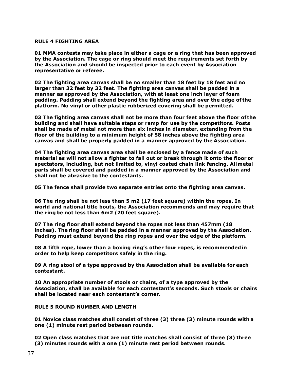## **RULE 4 FIGHTING AREA**

**01 MMA contests may take place in either a cage or a ring that has been approved by the Association. The cage or ring should meet the requirements set forth by the Association and should be inspected prior to each event by Association representative or referee.**

**02 The fighting area canvas shall be no smaller than 18 feet by 18 feet and no larger than 32 feet by 32 feet. The fighting area canvas shall be padded in a manner as approved by the Association, with at least one inch layer of foam padding. Padding shall extend beyond the fighting area and over the edge of the platform. No vinyl or other plastic rubberized covering shall be permitted.**

**03 The fighting area canvas shall not be more than four feet above the floor of the building and shall have suitable steps or ramp for use by the competitors. Posts shall be made of metal not more than six inches in diameter, extending from the floor of the building to a minimum height of 58 inches above the fighting area canvas and shall be properly padded in a manner approved by the Association.**

**04 The fighting area canvas area shall be enclosed by a fence made of such material as will not allow a fighter to fall out or break through it onto the floor or spectators, including, but not limited to, vinyl coated chain link fencing. Allmetal parts shall be covered and padded in a manner approved by the Association and shall not be abrasive to the contestants.**

**05 The fence shall provide two separate entries onto the fighting area canvas.**

**06 The ring shall be not less than 5 m2 (17 feet square) within the ropes. In world and national title bouts, the Association recommends and may require that the ringbe not less than 6m2 (20 feet square).**

**07 The ring floor shall extend beyond the ropes not less than 457mm (18 inches). The ring floor shall be padded in a manner approved by the Association. Padding must extend beyond the ring ropes and over the edge of the platform.**

**08 A fifth rope, lower than a boxing ring's other four ropes, is recommended in order to help keep competitors safely in the ring.**

**09 A ring stool of a type approved by the Association shall be available for each contestant.**

**10 An appropriate number of stools or chairs, of a type approved by the Association, shall be available for each contestant's seconds. Such stools or chairs shall be located near each contestant's corner.**

## **RULE 5 ROUND NUMBER AND LENGTH**

**01 Novice class matches shall consist of three (3) three (3) minute rounds with a one (1) minute rest period between rounds.**

**02 Open class matches that are not title matches shall consist of three (3) three (3) minutes rounds with a one (1) minute rest period between rounds.**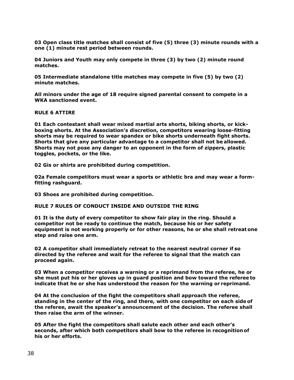**03 Open class title matches shall consist of five (5) three (3) minute rounds with a one (1) minute rest period between rounds.**

**04 Juniors and Youth may only compete in three (3) by two (2) minute round matches.**

**05 Intermediate standalone title matches may compete in five (5) by two (2) minute matches.**

**All minors under the age of 18 require signed parental consent to compete in a WKA sanctioned event.** 

**RULE 6 ATTIRE**

**01 Each contestant shall wear mixed martial arts shorts, biking shorts, or kickboxing shorts. At the Association's discretion, competitors wearing loose-fitting shorts may be required to wear spandex or bike shorts underneath fight shorts. Shorts that give any particular advantage to a competitor shall not be allowed. Shorts may not pose any danger to an opponent in the form of zippers, plastic toggles, pockets, or the like.**

**02 Gis or shirts are prohibited during competition.**

**02a Female competitors must wear a sports or athletic bra and may wear a formfitting rashguard.**

**03 Shoes are prohibited during competition.**

## **RULE 7 RULES OF CONDUCT INSIDE AND OUTSIDE THE RING**

**01 It is the duty of every competitor to show fair play in the ring. Should a competitor not be ready to continue the match, because his or her safety equipment is not working properly or for other reasons, he or she shall retreat one step and raise one arm.**

**02 A competitor shall immediately retreat to the nearest neutral corner if so directed by the referee and wait for the referee to signal that the match can proceed again.**

**03 When a competitor receives a warning or a reprimand from the referee, he or she must put his or her gloves up in guard position and bow toward the referee to indicate that he or she has understood the reason for the warning or reprimand.**

**04 At the conclusion of the fight the competitors shall approach the referee, standing in the center of the ring, and there, with one competitor on each side of the referee, await the speaker's announcement of the decision. The referee shall then raise the arm of the winner.**

**05 After the fight the competitors shall salute each other and each other's seconds, after which both competitors shall bow to the referee in recognition of his or her efforts.**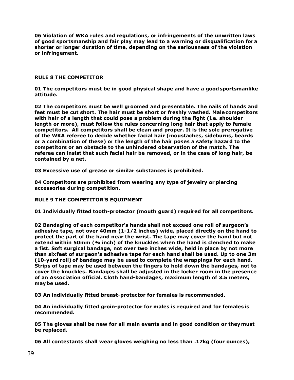**06 Violation of WKA rules and regulations, or infringements of the unwritten laws of good sportsmanship and fair play may lead to a warning or disqualification fora shorter or longer duration of time, depending on the seriousness of the violation or infringement.**

## **RULE 8 THE COMPETITOR**

**01 The competitors must be in good physical shape and have a goodsportsmanlike attitude.**

**02 The competitors must be well groomed and presentable. The nails of hands and feet must be cut short. The hair must be short or freshly washed. Malecompetitors with hair of a length that could pose a problem during the fight (i.e. shoulder length or more), must follow the rules concerning long hair that apply to female competitors. All competitors shall be clean and proper. It is the sole prerogative of the WKA referee to decide whether facial hair (moustaches, sideburns, beards or a combination of these) or the length of the hair poses a safety hazard to the competitors or an obstacle to the unhindered observation of the match. The referee can insist that such facial hair be removed, or in the case of long hair, be contained by a net.**

**03 Excessive use of grease or similar substances is prohibited.**

**04 Competitors are prohibited from wearing any type of jewelry or piercing accessories during competition.**

## **RULE 9 THE COMPETITOR'S EQUIPMENT**

**01 Individually fitted tooth-protector (mouth guard) required for all competitors.**

**02 Bandaging of each competitor's hands shall not exceed one roll of surgeon's adhesive tape, not over 40mm (1-1/2 inches) wide, placed directly on the hand to protect the part of the hand near the wrist. The tape may cover the hand but not extend within 50mm (¾ inch) of the knuckles when the hand is clenched to make a fist. Soft surgical bandage, not over two inches wide, held in place by not more than sixfeet of surgeon's adhesive tape for each hand shall be used. Up to one 3m (10-yard roll) of bandage may be used to complete the wrappings for each hand. Strips of tape may be used between the fingers to hold down the bandages, not to cover the knuckles. Bandages shall be adjusted in the locker room in the presence of an Association official. Cloth hand-bandages, maximum length of 3.5 meters, maybe used.**

**03 An individually fitted breast-protector for females is recommended.**

**04 An individually fitted groin-protector for males is required and for females is recommended.**

**05 The gloves shall be new for all main events and in good condition or theymust be replaced.**

**06 All contestants shall wear gloves weighing no less than .17kg (four ounces),**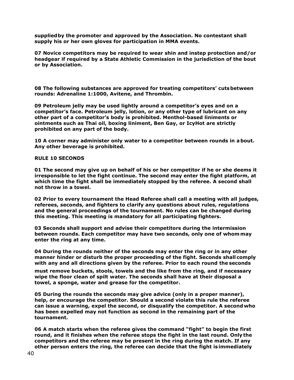**suppliedby the promoter and approved by the Association. No contestant shall supply his or her own gloves for participation in MMA events.**

**07 Novice competitors may be required to wear shin and instep protection and/or headgear if required by a State Athletic Commission in the jurisdiction of the bout or by Association.**

**08 The following substances are approved for treating competitors' cutsbetween rounds: Adrenaline 1:1000, Avitene, and Thrombin.**

**09 Petroleum jelly may be used lightly around a competitor's eyes and on a competitor's face. Petroleum jelly, lotion, or any other type of lubricant on any other part of a competitor's body is prohibited. Menthol-based liniments or ointments such as Thai oil, boxing liniment, Ben Gay, or IcyHot are strictly prohibited on any part of the body.**

**10 A corner may administer only water to a competitor between rounds in about. Any other beverage is prohibited.**

**RULE 10 SECONDS**

**01 The second may give up on behalf of his or her competitor if he or she deems it irresponsible to let the fight continue. The second may enter the fight platform, at which time the fight shall be immediately stopped by the referee. A second shall not throw in a towel.**

**02 Prior to every tournament the Head Referee shall call a meeting with all judges, referees, seconds, and fighters to clarify any questions about rules, regulations and the general proceedings of the tournament. No rules can be changed during this meeting. This meeting is mandatory for all participating fighters.**

**03 Seconds shall support and advise their competitors during the intermission between rounds. Each competitor may have two seconds, only one of whommay enter the ring at any time.**

**04 During the rounds neither of the seconds may enter the ring or in any other manner hinder or disturb the proper proceeding of the fight. Seconds shall comply with any and all directions given by the referee. Prior to each round the seconds**

**must remove buckets, stools, towels and the like from the ring, and if necessary wipe the floor clean of spilt water. The seconds shall have at their disposal a towel, a sponge, water and grease for the competitor.**

**05 During the rounds the seconds may give advice (only in a proper manner), help, or encourage the competitor. Should a second violate this rule the referee can issue a warning, expel the second, or disqualify the competitor. A secondwho has been expelled may not function as second in the remaining part of the tournament.**

**06 A match starts when the referee gives the command "fight" to begin the first round, and it finishes when the referee stops the fight in the last round. Onlythe competitors and the referee may be present in the ring during the match. If any other person enters the ring, the referee can decide that the fight isimmediately**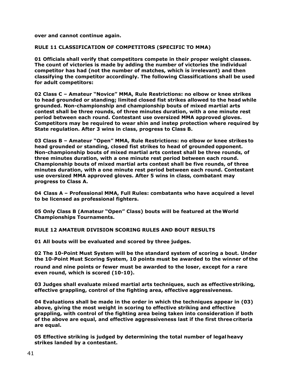**over and cannot continue again.**

**RULE 11 CLASSIFICATION OF COMPETITORS (SPECIFIC TO MMA)**

**01 Officials shall verify that competitors compete in their proper weight classes. The count of victories is made by adding the number of victories the individual competitor has had (not the number of matches, which is irrelevant) and then classifying the competitor accordingly. The following Classifications shall be used for adult competitors:**

**02 Class C – Amateur "Novice" MMA, Rule Restrictions: no elbow or knee strikes to head grounded or standing; limited closed fist strikes allowed to the head while grounded. Non-championship and championship bouts of mixed martial arts contest shall be three rounds, of three minutes duration, with a one minute rest period between each round. Contestant use oversized MMA approved gloves. Competitors may be required to wear shin and instep protection where required by State regulation. After 3 wins in class, progress to Class B.**

**03 Class B – Amateur "Open" MMA, Rule Restrictions: no elbow or knee strikes to head grounded or standing, closed fist strikes to head of grounded opponent. Non-championship bouts of mixed martial arts contest shall be three rounds, of three minutes duration, with a one minute rest period between each round. Championship bouts of mixed martial arts contest shall be five rounds, of three minutes duration, with a one minute rest period between each round. Contestant use oversized MMA approved gloves. After 5 wins in class, combatant may progress to Class A.**

**04 Class A – Professional MMA, Full Rules: combatants who have acquired a level to be licensed as professional fighters.**

**05 Only Class B (Amateur "Open" Class) bouts will be featured at the World Championships Tournaments.**

**RULE 12 AMATEUR DIVISION SCORING RULES AND BOUT RESULTS**

**01 All bouts will be evaluated and scored by three judges.**

**02 The 10-Point Must System will be the standard system of scoring a bout. Under the 10-Point Must Scoring System, 10 points must be awarded to the winner of the**

**round and nine points or fewer must be awarded to the loser, except for a rare even round, which is scored (10-10).**

**03 Judges shall evaluate mixed martial arts techniques, such as effectivestriking, effective grappling, control of the fighting area, effective aggressiveness.**

**04 Evaluations shall be made in the order in which the techniques appear in (03) above, giving the most weight in scoring to effective striking and effective grappling, with control of the fighting area being taken into consideration if both of the above are equal, and effective aggressiveness last if the first threecriteria are equal.**

**05 Effective striking is judged by determining the total number of legal heavy strikes landed by a contestant.**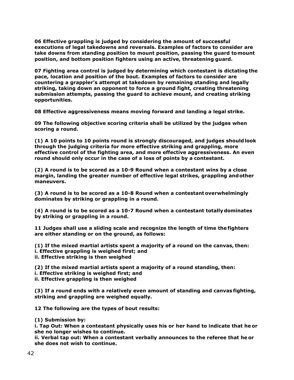**06 Effective grappling is judged by considering the amount of successful executions of legal takedowns and reversals. Examples of factors to consider are take downs from standing position to mount position, passing the guard tomount position, and bottom position fighters using an active, threatening guard.**

**07 Fighting area control is judged by determining which contestant is dictating the pace, location and position of the bout. Examples of factors to consider are countering a grappler's attempt at takedown by remaining standing and legally striking, taking down an opponent to force a ground fight, creating threatening submission attempts, passing the guard to achieve mount, and creating striking opportunities.**

**08 Effective aggressiveness means moving forward and landing a legal strike.**

**09 The following objective scoring criteria shall be utilized by the judges when scoring a round.**

**(1) A 10 points to 10 points round is strongly discouraged, and judges shouldlook through the judging criteria for more effective striking and grappling, more effective control of the fighting area, and more effective aggressiveness. An even round should only occur in the case of a loss of points by a contestant.**

**(2) A round is to be scored as a 10-9 Round when a contestant wins by a close margin, landing the greater number of effective legal strikes, grappling andother maneuvers.**

**(3) A round is to be scored as a 10-8 Round when a contestantoverwhelmingly dominates by striking or grappling in a round.**

**(4) A round is to be scored as a 10-7 Round when a contestant totallydominates by striking or grappling in a round.**

**11 Judges shall use a sliding scale and recognize the length of time the fighters are either standing or on the ground, as follows:**

**(1) If the mixed martial artists spent a majority of a round on the canvas, then: i. Effective grappling is weighed first; and ii. Effective striking is then weighed**

**(2) If the mixed martial artists spent a majority of a round standing, then: i. Effective striking is weighed first; and ii. Effective grappling is then weighed**

**(3) If a round ends with a relatively even amount of standing and canvas fighting, striking and grappling are weighed equally.**

**12 The following are the types of bout results:**

**(1) Submission by:**

**i. Tap Out: When a contestant physically uses his or her hand to indicate that he or she no longer wishes to continue.**

**ii. Verbal tap out: When a contestant verbally announces to the referee that he or she does not wish to continue.**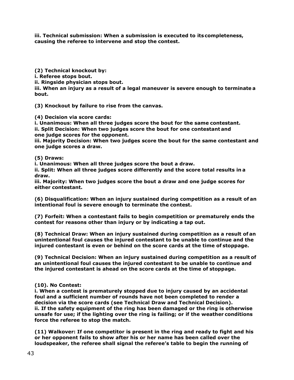**iii. Technical submission: When a submission is executed to its completeness, causing the referee to intervene and stop the contest.**

**(2) Technical knockout by: i. Referee stops bout. ii. Ringside physician stops bout. iii. When an injury as a result of a legal maneuver is severe enough to terminate a bout.**

**(3) Knockout by failure to rise from the canvas.**

**(4) Decision via score cards:**

**i. Unanimous: When all three judges score the bout for the same contestant. ii. Split Decision: When two judges score the bout for one contestant and one judge scores for the opponent.**

**iii. Majority Decision: When two judges score the bout for the same contestant and one judge scores a draw.**

**(5) Draws:**

**i. Unanimous: When all three judges score the bout a draw.**

**ii. Split: When all three judges score differently and the score total results in a draw.**

**iii. Majority: When two judges score the bout a draw and one judge scores for either contestant.**

**(6) Disqualification: When an injury sustained during competition as a result of an intentional foul is severe enough to terminate the contest.**

**(7) Forfeit: When a contestant fails to begin competition or prematurely ends the contest for reasons other than injury or by indicating a tap out.**

**(8) Technical Draw: When an injury sustained during competition as a result of an unintentional foul causes the injured contestant to be unable to continue and the injured contestant is even or behind on the score cards at the time of stoppage.**

**(9) Technical Decision: When an injury sustained during competition as a result of an unintentional foul causes the injured contestant to be unable to continue and the injured contestant is ahead on the score cards at the time of stoppage.**

## **(10). No Contest:**

**i. When a contest is prematurely stopped due to injury caused by an accidental foul and a sufficient number of rounds have not been completed to render a decision via the score cards (see Technical Draw and Technical Decision). ii. If the safety equipment of the ring has been damaged or the ring is otherwise unsafe for use; if the lighting over the ring is failing; or if the weather conditions force the referee to stop the match.**

**(11) Walkover: If one competitor is present in the ring and ready to fight and his or her opponent fails to show after his or her name has been called over the loudspeaker, the referee shall signal the referee's table to begin the running of**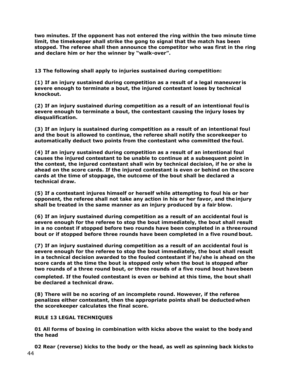**two minutes. If the opponent has not entered the ring within the two minute time limit, the timekeeper shall strike the gong to signal that the match has been stopped. The referee shall then announce the competitor who was first in the ring and declare him or her the winner by "walk-over".**

**13 The following shall apply to injuries sustained during competition:**

**(1) If an injury sustained during competition as a result of a legal maneuver is severe enough to terminate a bout, the injured contestant loses by technical knockout.**

**(2) If an injury sustained during competition as a result of an intentional foul is severe enough to terminate a bout, the contestant causing the injury loses by disqualification.**

**(3) If an injury is sustained during competition as a result of an intentional foul and the bout is allowed to continue, the referee shall notify the scorekeeper to automatically deduct two points from the contestant who committed the foul.**

**(4) If an injury sustained during competition as a result of an intentional foul causes the injured contestant to be unable to continue at a subsequent point in the contest, the injured contestant shall win by technical decision, if he or she is ahead on the score cards. If the injured contestant is even or behind on the score cards at the time of stoppage, the outcome of the bout shall be declared a technical draw.**

**(5) If a contestant injures himself or herself while attempting to foul his or her opponent, the referee shall not take any action in his or her favor, and the injury shall be treated in the same manner as an injury produced by a fair blow.**

**(6) If an injury sustained during competition as a result of an accidental foul is severe enough for the referee to stop the bout immediately, the bout shall result in a no contest if stopped before two rounds have been completed in a threeround bout or if stopped before three rounds have been completed in a five round bout.**

**(7) If an injury sustained during competition as a result of an accidental foul is severe enough for the referee to stop the bout immediately, the bout shall result in a technical decision awarded to the fouled contestant if he/she is ahead on the score cards at the time the bout is stopped only when the bout is stopped after two rounds of a three round bout, or three rounds of a five round bout havebeen completed. If the fouled contestant is even or behind at this time, the bout shall be declared a technical draw.**

**(8) There will be no scoring of an incomplete round. However, if the referee penalizes either contestant, then the appropriate points shall be deductedwhen the scorekeeper calculates the final score.**

**RULE 13 LEGAL TECHNIQUES**

**01 All forms of boxing in combination with kicks above the waist to the bodyand the head**

**02 Rear (reverse) kicks to the body or the head, as well as spinning back kicks to**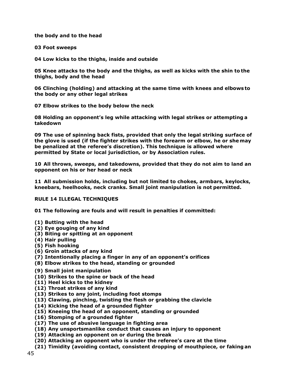**the body and to the head**

**03 Foot sweeps**

**04 Low kicks to the thighs, inside and outside**

**05 Knee attacks to the body and the thighs, as well as kicks with the shin to the thighs, body and the head**

**06 Clinching (holding) and attacking at the same time with knees and elbows to the body or any other legal strikes**

**07 Elbow strikes to the body below the neck**

**08 Holding an opponent's leg while attacking with legal strikes or attempting a takedown**

**09 The use of spinning back fists, provided that only the legal striking surface of the glove is used (if the fighter strikes with the forearm or elbow, he or shemay be penalized at the referee's discretion). This technique is allowed where permitted by State or local jurisdiction, or by Association rules.**

**10 All throws, sweeps, and takedowns, provided that they do not aim to land an opponent on his or her head or neck**

**11 All submission holds, including but not limited to chokes, armbars, keylocks, kneebars, heelhooks, neck cranks. Small joint manipulation is not permitted.**

## **RULE 14 ILLEGAL TECHNIQUES**

**01 The following are fouls and will result in penalties if committed:**

- **(1) Butting with the head**
- **(2) Eye gouging of any kind**
- **(3) Biting or spitting at an opponent**
- **(4) Hair pulling**
- **(5) Fish hooking**
- **(6) Groin attacks of any kind**
- **(7) Intentionally placing a finger in any of an opponent's orifices**
- **(8) Elbow strikes to the head, standing or grounded**
- **(9) Small joint manipulation**
- **(10) Strikes to the spine or back of the head**
- **(11) Heel kicks to the kidney**
- **(12) Throat strikes of any kind**
- **(13) Strikes to any joint, including foot stomps**
- **(13) Clawing, pinching, twisting the flesh or grabbing the clavicle**
- **(14) Kicking the head of a grounded fighter**
- **(15) Kneeing the head of an opponent, standing or grounded**
- **(16) Stomping of a grounded fighter**
- **(17) The use of abusive language in fighting area**
- **(18) Any unsportsmanlike conduct that causes an injury to opponent**
- **(19) Attacking an opponent on or during the break**
- **(20) Attacking an opponent who is under the referee's care at the time**
- **(21) Timidity (avoiding contact, consistent dropping of mouthpiece, or faking an**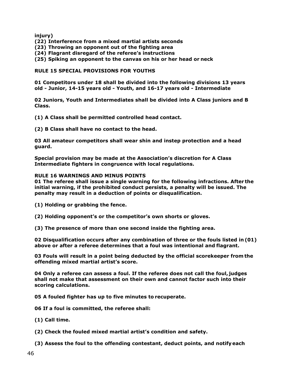**injury)**

- **(22) Interference from a mixed martial artists seconds**
- **(23) Throwing an opponent out of the fighting area**
- **(24) Flagrant disregard of the referee's instructions**
- **(25) Spiking an opponent to the canvas on his or her head or neck**

## **RULE 15 SPECIAL PROVISIONS FOR YOUTHS**

**01 Competitors under 18 shall be divided into the following divisions 13 years old - Junior, 14-15 years old - Youth, and 16-17 years old - Intermediate**

**02 Juniors, Youth and Intermediates shall be divided into A Class juniors and B Class.**

**(1) A Class shall be permitted controlled head contact.**

**(2) B Class shall have no contact to the head.**

**03 All amateur competitors shall wear shin and instep protection and a head guard.** 

**Special provision may be made at the Association's discretion for A Class Intermediate fighters in congruence with local regulations.**

## **RULE 16 WARNINGS AND MINUS POINTS**

**01 The referee shall issue a single warning for the following infractions. After the initial warning, if the prohibited conduct persists, a penalty will be issued. The penalty may result in a deduction of points or disqualification.**

**(1) Holding or grabbing the fence.**

**(2) Holding opponent's or the competitor's own shorts or gloves.**

**(3) The presence of more than one second inside the fighting area.**

**02 Disqualification occurs after any combination of three or the fouls listed in (01) above or after a referee determines that a foul was intentional and flagrant.**

**03 Fouls will result in a point being deducted by the official scorekeeper from the offending mixed martial artist's score.**

**04 Only a referee can assess a foul. If the referee does not call the foul, judges shall not make that assessment on their own and cannot factor such into their scoring calculations.**

**05 A fouled fighter has up to five minutes to recuperate.** 

**06 If a foul is committed, the referee shall:**

- **(1) Call time.**
- **(2) Check the fouled mixed martial artist's condition and safety.**
- **(3) Assess the foul to the offending contestant, deduct points, and notifyeach**